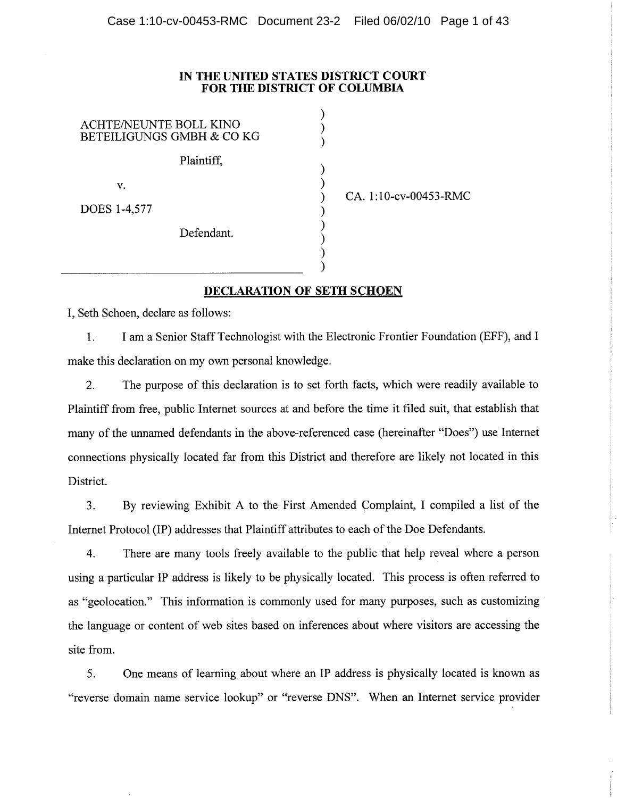## IN THE UNITED STATES DISTRICT COURT FOR THE DISTRICT OF COLUMBIA

 $\mathcal{E}$ 

 $\mathcal{E}$ 

 $\mathcal{E}$ 

ſ )

**ACHTE/NEUNTE BOLL KINO BETEILIGUNGS GMBH & CO KG** Plaintiff. v. DOES 1-4,577 Defendant.

CA. 1:10-cv-00453-RMC

## **DECLARATION OF SETH SCHOEN**

I, Seth Schoen, declare as follows:

1. I am a Senior Staff Technologist with the Electronic Frontier Foundation (EFF), and I make this declaration on my own personal knowledge.

The purpose of this declaration is to set forth facts, which were readily available to  $2.$ Plaintiff from free, public Internet sources at and before the time it filed suit, that establish that many of the unnamed defendants in the above-referenced case (hereinafter "Does") use Internet connections physically located far from this District and therefore are likely not located in this District.

By reviewing Exhibit A to the First Amended Complaint, I compiled a list of the  $3.$ Internet Protocol (IP) addresses that Plaintiff attributes to each of the Doe Defendants.

 $\overline{4}$ . There are many tools freely available to the public that help reveal where a person using a particular IP address is likely to be physically located. This process is often referred to as "geolocation." This information is commonly used for many purposes, such as customizing the language or content of web sites based on inferences about where visitors are accessing the site from.

 $5<sub>1</sub>$ One means of learning about where an IP address is physically located is known as "reverse domain name service lookup" or "reverse DNS". When an Internet service provider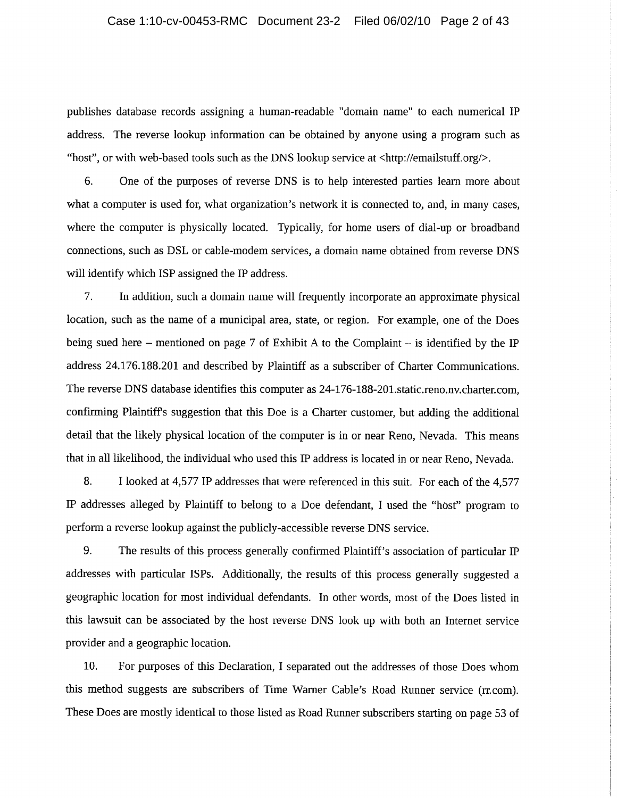publishes database records assigning a human-readable "domain name" to each numerical IP address. The reverse lookup information can be obtained by anyone using a program such as "host", or with web-based tools such as the DNS lookup service at <http://emailstuff.org/>.

6. One of the purposes of reverse DNS is to help interested parties learn more about what a computer is used for, what organization's network it is connected to, and, in many cases, where the computer is physically located. Typically, for home users of dial-up or broadband connections, such as DSL or cable-modem services, a domain name obtained from reverse DNS will identify which ISP assigned the IP address.

In addition, such a domain name will frequently incorporate an approximate physical 7. location, such as the name of a municipal area, state, or region. For example, one of the Does being sued here – mentioned on page 7 of Exhibit A to the Complaint – is identified by the IP address 24.176.188.201 and described by Plaintiff as a subscriber of Charter Communications. The reverse DNS database identifies this computer as 24-176-188-201.static.reno.nv.charter.com, confirming Plaintiff's suggestion that this Doe is a Charter customer, but adding the additional detail that the likely physical location of the computer is in or near Reno, Nevada. This means that in all likelihood, the individual who used this IP address is located in or near Reno, Nevada.

8. I looked at 4,577 IP addresses that were referenced in this suit. For each of the 4,577 IP addresses alleged by Plaintiff to belong to a Doe defendant, I used the "host" program to perform a reverse lookup against the publicly-accessible reverse DNS service.

9. The results of this process generally confirmed Plaintiff's association of particular IP addresses with particular ISPs. Additionally, the results of this process generally suggested a geographic location for most individual defendants. In other words, most of the Does listed in this lawsuit can be associated by the host reverse DNS look up with both an Internet service provider and a geographic location.

10. For purposes of this Declaration, I separated out the addresses of those Does whom this method suggests are subscribers of Time Warner Cable's Road Runner service (rr.com). These Does are mostly identical to those listed as Road Runner subscribers starting on page 53 of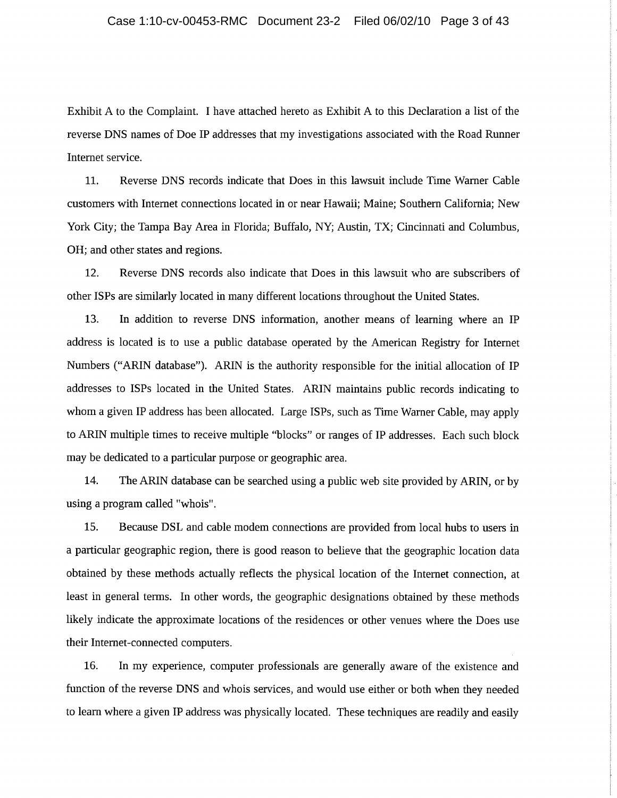Exhibit A to the Complaint. I have attached hereto as Exhibit A to this Declaration a list of the reverse DNS names of Doe IP addresses that my investigations associated with the Road Runner Internet service.

11. Reverse DNS records indicate that Does in this lawsuit include Time Warner Cable customers with Internet connections located in or near Hawaii; Maine; Southern California; New York City; the Tampa Bay Area in Florida; Buffalo, NY; Austin, TX; Cincinnati and Columbus, OH; and other states and regions.

12. Reverse DNS records also indicate that Does in this lawsuit who are subscribers of other ISPs are similarly located in many different locations throughout the United States.

13. In addition to reverse DNS information, another means of learning where an IP address is located is to use a public database operated by the American Registry for Internet Numbers ("ARIN database"). ARIN is the authority responsible for the initial allocation of IP addresses to ISPs located in the United States. ARIN maintains public records indicating to whom a given IP address has been allocated. Large ISPs, such as Time Warner Cable, may apply to ARIN multiple times to receive multiple "blocks" or ranges of IP addresses. Each such block may be dedicated to a particular purpose or geographic area.

14. The ARIN database can be searched using a public web site provided by ARIN, or by using a program called "whois".

15. Because DSL and cable modem connections are provided from local hubs to users in a particular geographic region, there is good reason to believe that the geographic location data obtained by these methods actually reflects the physical location of the Internet connection, at least in general terms. In other words, the geographic designations obtained by these methods likely indicate the approximate locations of the residences or other venues where the Does use their Internet-connected computers.

16. In my experience, computer professionals are generally aware of the existence and function of the reverse DNS and whois services, and would use either or both when they needed to learn where a given IP address was physically located. These techniques are readily and easily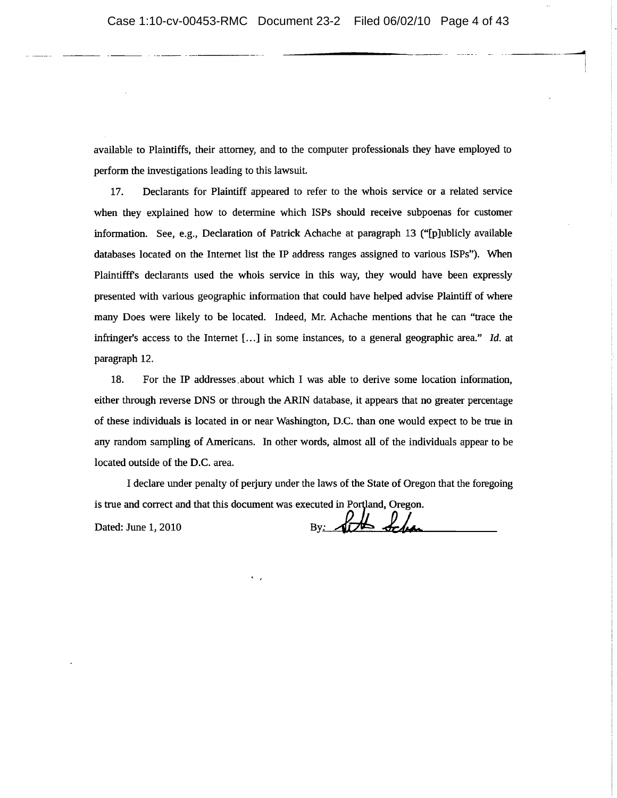available to Plaintiffs, their attorney, and to the computer professionals they have employed to perform the investigations leading to this lawsuit.

Declarants for Plaintiff appeared to refer to the whois service or a related service 17. when they explained how to determine which ISPs should receive subpoenas for customer information. See, e.g., Declaration of Patrick Achache at paragraph 13 ("[p]ublicly available databases located on the Internet list the IP address ranges assigned to various ISPs"). When Plaintifff's declarants used the whois service in this way, they would have been expressly presented with various geographic information that could have helped advise Plaintiff of where many Does were likely to be located. Indeed, Mr. Achache mentions that he can "trace the infringer's access to the Internet  $[...]$  in some instances, to a general geographic area." Id. at paragraph 12.

18. For the IP addresses about which I was able to derive some location information, either through reverse DNS or through the ARIN database, it appears that no greater percentage of these individuals is located in or near Washington, D.C. than one would expect to be true in any random sampling of Americans. In other words, almost all of the individuals appear to be located outside of the D.C. area.

I declare under penalty of perjury under the laws of the State of Oregon that the foregoing is true and correct and that this document was executed in Portland, Oregon.

Dated: June 1, 2010

By: At Schan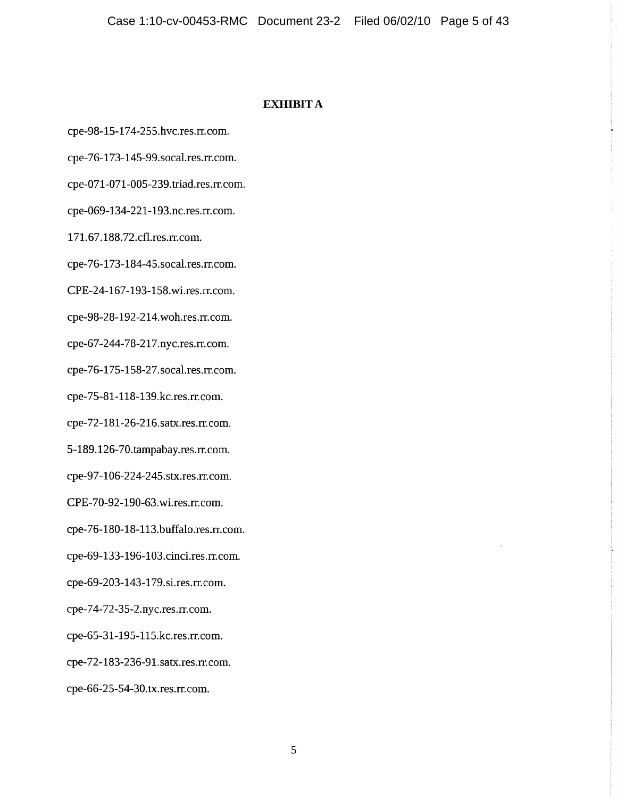## **EXHIBIT A**

cpe-98-15-174-255.hvc.res.rr.com.

cpe-76-173-145-99.socal.res.rr.com.

cpe-071-071-005-239.triad.res.rr.com.

cpe-069-134-221-193.nc.res.rr.com.

171.67.188.72.cfl.res.rr.com.

cpe-76-173-184-45.socal.res.rr.com.

CPE-24-167-193-158.wi.res.rr.com.

cpe-98-28-192-214.woh.res.rr.com.

cpe-67-244-78-217.nyc.res.rr.com.

cpe-76-175-158-27.socal.res.rr.com.

cpe-75-81-118-139.kc.res.rr.com.

cpe-72-181-26-216.satx.res.rr.com.

5-189.126-70.tampabay.res.rr.com.

cpe-97-106-224-245.stx.res.rr.com.

CPE-70-92-190-63.wi.res.rr.com.

cpe-76-180-18-113.buffalo.res.rr.com.

cpe-69-133-196-103.cinci.res.rr.com.

cpe-69-203-143-179.si.res.rr.com.

cpe-74-72-35-2.nyc.res.rr.com.

cpe-65-31-195-115.kc.res.rr.com.

cpe-72-183-236-91.satx.res.rr.com.

cpe-66-25-54-30.tx.res.rr.com.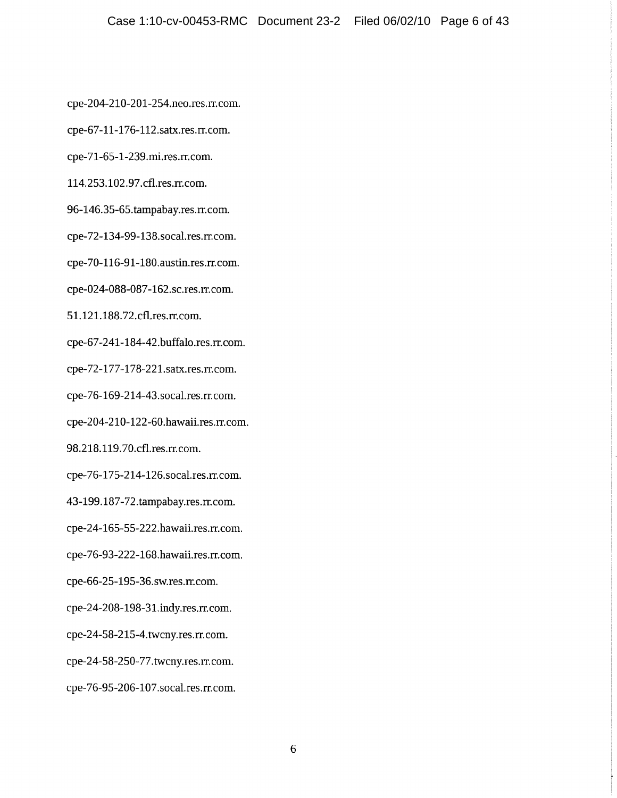cpe-204-210-201-254.neo.res.rr.com.

cpe-67-11-176-112.satx.res.rr.com.

cpe-71-65-1-239.mi.res.rr.com.

114.253.102.97.cfl.res.rr.com.

96-146.35-65.tampabay.res.rr.com.

cpe-72-134-99-138.socal.res.rr.com.

cpe-70-116-91-180.austin.res.rr.com.

cpe-024-088-087-162.sc.res.rr.com.

51.121.188.72.cfl.res.rr.com.

cpe-67-241-184-42.buffalo.res.rr.com.

cpe-72-177-178-221.satx.res.rr.com.

cpe-76-169-214-43.socal.res.rr.com.

cpe-204-210-122-60.hawaii.res.rr.com.

98.218.119.70.cfl.res.rr.com.

cpe-76-175-214-126.socal.res.rr.com.

43-199.187-72.tampabay.res.rr.com.

cpe-24-165-55-222.hawaii.res.rr.com.

cpe-76-93-222-168.hawaii.res.rr.com.

cpe-66-25-195-36.sw.res.rr.com.

cpe-24-208-198-31.indy.res.rr.com.

cpe-24-58-215-4.twcny.res.rr.com.

cpe-24-58-250-77.twcny.res.rr.com.

cpe-76-95-206-107.socal.res.rr.com.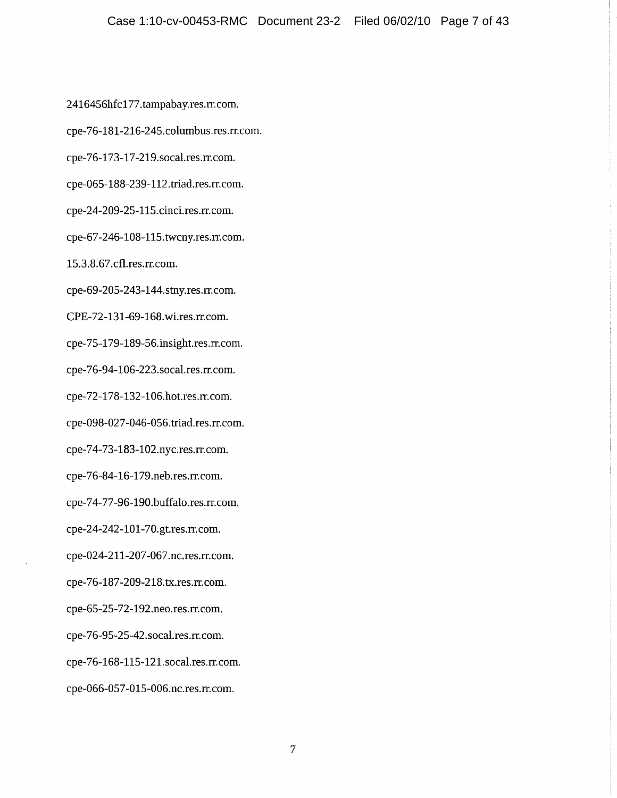2416456hfc177.tampabay.res.rr.com.

cpe-76-181-216-245.columbus.res.rr.com.

cpe-76-173-17-219.socal.res.rr.com.

cpe-065-188-239-112.triad.res.rr.com.

cpe-24-209-25-115.cinci.res.rr.com.

cpe-67-246-108-115.twcny.res.rr.com.

15.3.8.67.cfl.res.rr.com.

cpe-69-205-243-144.stny.res.rr.com.

CPE-72-131-69-168.wi.res.rr.com.

cpe-75-179-189-56.insight.res.rr.com.

cpe-76-94-106-223.socal.res.rr.com.

cpe-72-178-132-106.hot.res.rr.com.

cpe-098-027-046-056.triad.res.rr.com.

cpe-74-73-183-102.nyc.res.rr.com.

cpe-76-84-16-179.neb.res.rr.com.

cpe-74-77-96-190.buffalo.res.rr.com.

cpe-24-242-101-70.gt.res.rr.com.

cpe-024-211-207-067.nc.res.rr.com.

cpe-76-187-209-218.tx.res.rr.com.

cpe-65-25-72-192.neo.res.rr.com.

cpe-76-95-25-42.socal.res.rr.com.

cpe-76-168-115-121.socal.res.rr.com.

cpe-066-057-015-006.nc.res.rr.com.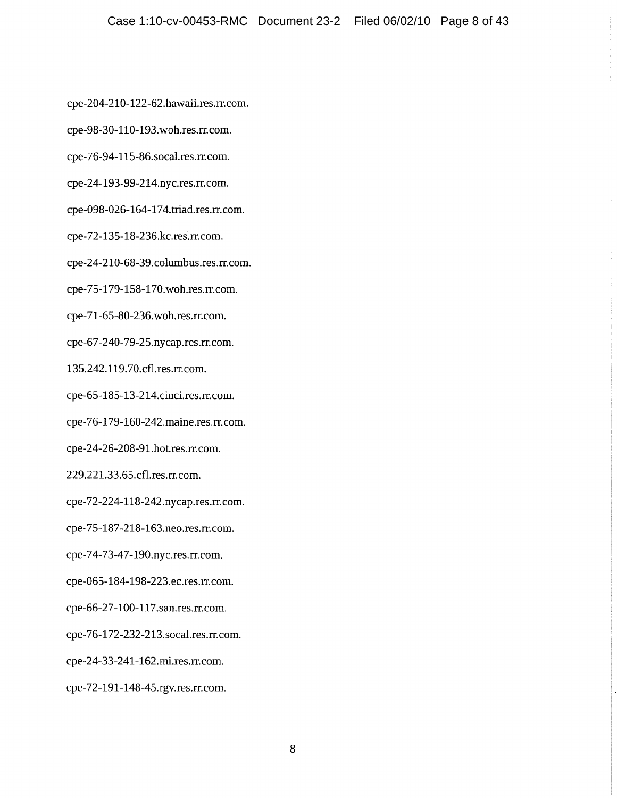cpe-204-210-122-62.hawaii.res.rr.com.

cpe-98-30-110-193.woh.res.rr.com.

cpe-76-94-115-86.socal.res.rr.com.

cpe-24-193-99-214.nyc.res.rr.com.

cpe-098-026-164-174.triad.res.rr.com.

cpe-72-135-18-236.kc.res.rr.com.

cpe-24-210-68-39.columbus.res.rr.com.

cpe-75-179-158-170.woh.res.rr.com.

cpe-71-65-80-236.woh.res.rr.com.

cpe-67-240-79-25.nycap.res.rr.com.

135.242.119.70.cfl.res.rr.com.

cpe-65-185-13-214.cinci.res.rr.com.

cpe-76-179-160-242.maine.res.rr.com.

cpe-24-26-208-91.hot.res.rr.com.

229.221.33.65.cfl.res.rr.com.

cpe-72-224-118-242.nycap.res.rr.com.

cpe-75-187-218-163.neo.res.rr.com.

cpe-74-73-47-190.nyc.res.rr.com.

cpe-065-184-198-223.ec.res.rr.com.

cpe-66-27-100-117.san.res.rr.com.

cpe-76-172-232-213.socal.res.rr.com.

cpe-24-33-241-162.mi.res.rr.com.

cpe-72-191-148-45.rgv.res.rr.com.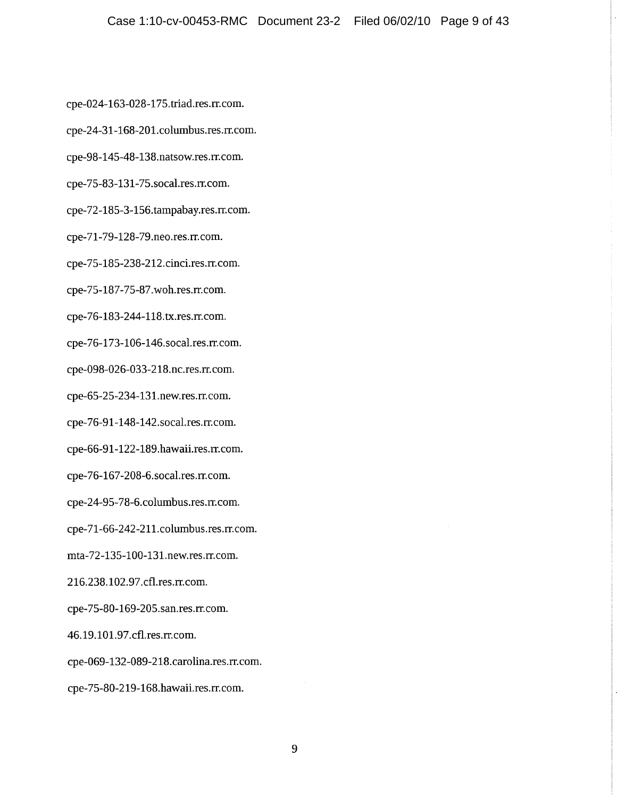cpe-024-163-028-175.triad.res.rr.com.

cpe-24-31-168-201.columbus.res.rr.com.

cpe-98-145-48-138.natsow.res.rr.com.

cpe-75-83-131-75.socal.res.rr.com.

cpe-72-185-3-156.tampabay.res.rr.com.

cpe-71-79-128-79.neo.res.rr.com.

cpe-75-185-238-212.cinci.res.rr.com.

cpe-75-187-75-87.woh.res.rr.com.

cpe-76-183-244-118.tx.res.rr.com.

cpe-76-173-106-146.socal.res.rr.com.

cpe-098-026-033-218.nc.res.rr.com.

cpe-65-25-234-131.new.res.rr.com.

cpe-76-91-148-142.socal.res.rr.com.

cpe-66-91-122-189.hawaii.res.rr.com.

cpe-76-167-208-6.socal.res.rr.com.

cpe-24-95-78-6.columbus.res.rr.com.

cpe-71-66-242-211.columbus.res.rr.com.

mta-72-135-100-131.new.res.rr.com.

216.238.102.97.cfl.res.rr.com.

cpe-75-80-169-205.san.res.rr.com.

46.19.101.97.cfl.res.rr.com.

cpe-069-132-089-218.carolina.res.rr.com.

cpe-75-80-219-168.hawaii.res.rr.com.

9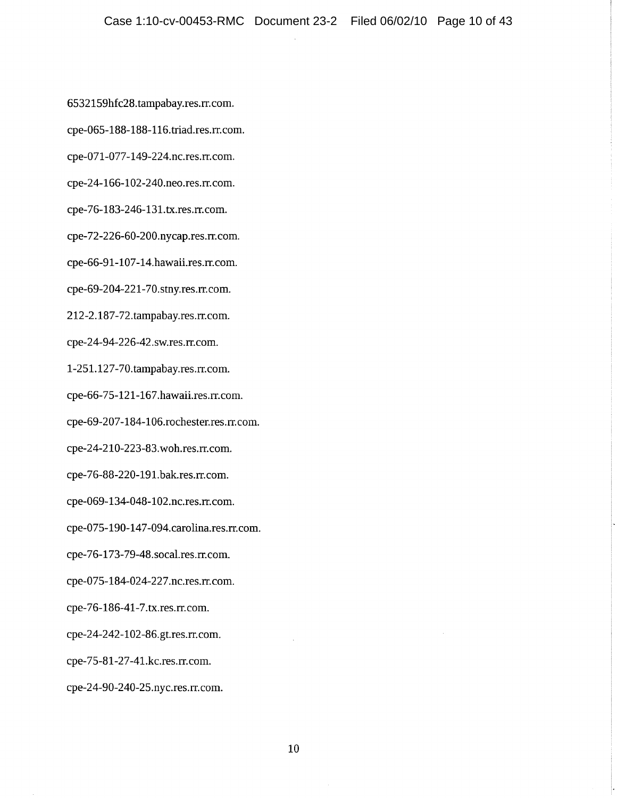6532159hfc28.tampabay.res.rr.com.

cpe-065-188-188-116.triad.res.rr.com.

cpe-071-077-149-224.nc.res.rr.com.

cpe-24-166-102-240.neo.res.rr.com.

cpe-76-183-246-131.tx.res.rr.com.

cpe-72-226-60-200.nycap.res.rr.com.

cpe-66-91-107-14.hawaii.res.rr.com.

cpe-69-204-221-70.stny.res.rr.com.

212-2.187-72.tampabay.res.rr.com.

cpe-24-94-226-42.sw.res.rr.com.

1-251.127-70.tampabay.res.rr.com.

cpe-66-75-121-167.hawaii.res.rr.com.

cpe-69-207-184-106.rochester.res.rr.com.

cpe-24-210-223-83.woh.res.rr.com.

cpe-76-88-220-191.bak.res.rr.com.

cpe-069-134-048-102.nc.res.rr.com.

cpe-075-190-147-094.carolina.res.rr.com.

cpe-76-173-79-48.socal.res.rr.com.

cpe-075-184-024-227.nc.res.rr.com.

cpe-76-186-41-7.tx.res.rr.com.

cpe-24-242-102-86.gt.res.rr.com.

cpe-75-81-27-41.kc.res.rr.com.

cpe-24-90-240-25.nyc.res.rr.com.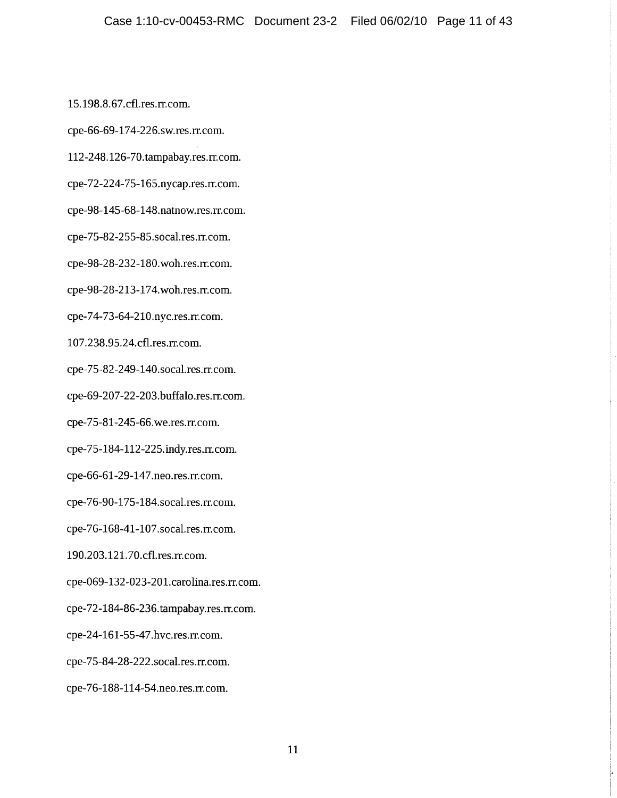15.198.8.67.cfl.res.rr.com.

cpe-66-69-174-226.sw.res.rr.com.

112-248.126-70.tampabay.res.rr.com.

cpe-72-224-75-165.nycap.res.rr.com.

cpe-98-145-68-148.natnow.res.rr.com.

cpe-75-82-255-85.socal.res.rr.com.

cpe-98-28-232-180.woh.res.rr.com.

cpe-98-28-213-174.woh.res.rr.com.

cpe-74-73-64-210.nyc.res.rr.com.

107.238.95.24.cfl.res.rr.com.

cpe-75-82-249-140.socal.res.rr.com.

cpe-69-207-22-203.buffalo.res.rr.com.

cpe-75-81-245-66.we.res.rr.com.

cpe-75-184-112-225.indy.res.rr.com.

cpe-66-61-29-147.neo.res.rr.com.

cpe-76-90-175-184.socal.res.rr.com.

cpe-76-168-41-107.socal.res.rr.com.

190.203.121.70.cfl.res.rr.com.

cpe-069-132-023-201.carolina.res.rr.com.

cpe-72-184-86-236.tampabay.res.rr.com.

cpe-24-161-55-47.hvc.res.rr.com.

cpe-75-84-28-222.socal.res.rr.com.

cpe-76-188-114-54.neo.res.rr.com.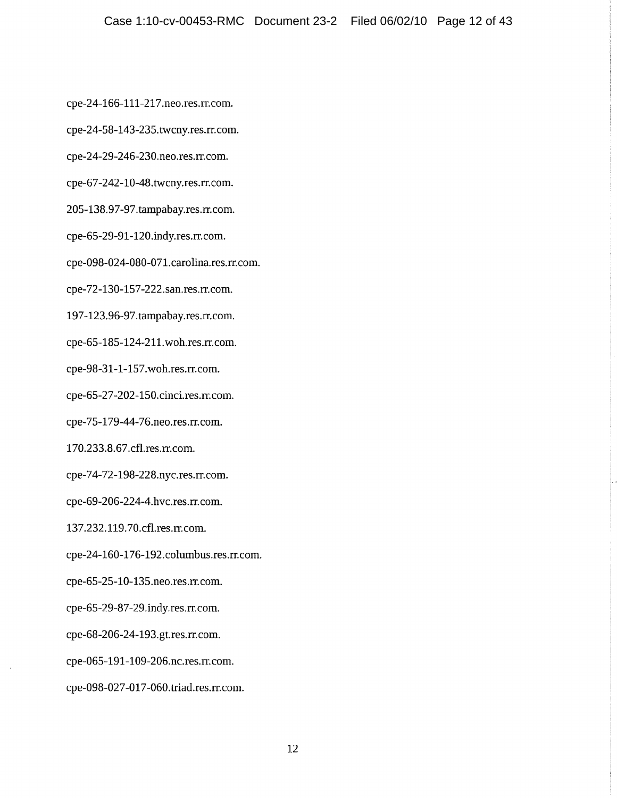cpe-24-166-111-217.neo.res.rr.com.

cpe-24-58-143-235.twcny.res.rr.com.

cpe-24-29-246-230.neo.res.rr.com.

cpe-67-242-10-48.twcny.res.rr.com.

205-138.97-97.tampabay.res.rr.com.

cpe-65-29-91-120.indy.res.rr.com.

cpe-098-024-080-071.carolina.res.rr.com.

cpe-72-130-157-222.san.res.rr.com.

197-123.96-97.tampabay.res.rr.com.

cpe-65-185-124-211.woh.res.rr.com.

cpe-98-31-1-157.woh.res.rr.com.

cpe-65-27-202-150.cinci.res.rr.com.

cpe-75-179-44-76.neo.res.rr.com.

170.233.8.67.cfl.res.rr.com.

cpe-74-72-198-228.nyc.res.rr.com.

cpe-69-206-224-4.hvc.res.rr.com.

137.232.119.70.cfl.res.rr.com.

cpe-24-160-176-192.columbus.res.rr.com.

cpe-65-25-10-135.neo.res.rr.com.

cpe-65-29-87-29.indy.res.rr.com.

cpe-68-206-24-193.gt.res.rr.com.

cpe-065-191-109-206.nc.res.rr.com.

cpe-098-027-017-060.triad.res.rr.com.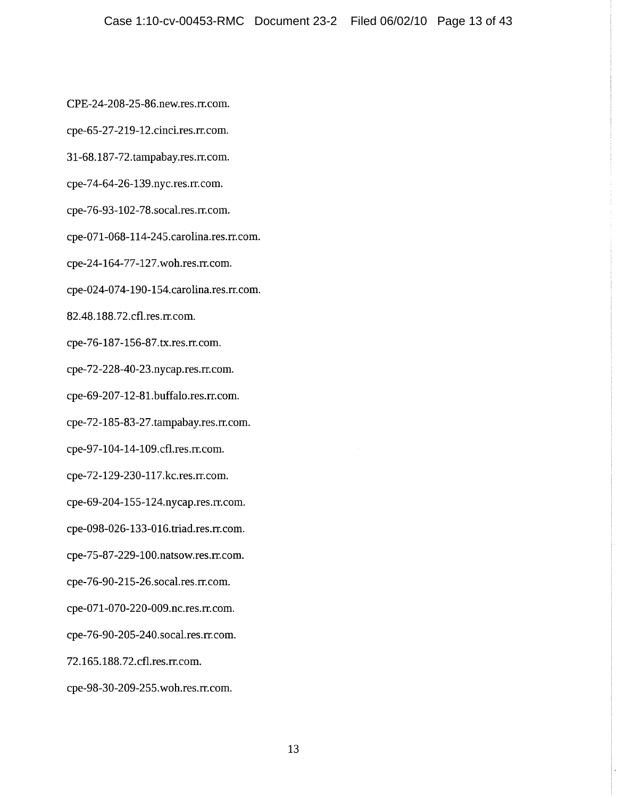CPE-24-208-25-86.new.res.rr.com.

cpe-65-27-219-12.cinci.res.rr.com.

31-68.187-72.tampabay.res.rr.com.

cpe-74-64-26-139.nyc.res.rr.com.

cpe-76-93-102-78.socal.res.rr.com.

cpe-071-068-114-245.carolina.res.rr.com.

cpe-24-164-77-127.woh.res.rr.com.

cpe-024-074-190-154.carolina.res.rr.com.

82.48.188.72.cfl.res.rr.com.

cpe-76-187-156-87.tx.res.rr.com.

cpe-72-228-40-23.nycap.res.rr.com.

cpe-69-207-12-81.buffalo.res.rr.com.

cpe-72-185-83-27.tampabay.res.rr.com.

cpe-97-104-14-109.cfl.res.rr.com.

cpe-72-129-230-117.kc.res.rr.com.

cpe-69-204-155-124.nycap.res.rr.com.

cpe-098-026-133-016.triad.res.rr.com.

cpe-75-87-229-100.natsow.res.rr.com.

cpe-76-90-215-26.socal.res.rr.com.

cpe-071-070-220-009.nc.res.rr.com.

cpe-76-90-205-240.socal.res.rr.com.

72.165.188.72.cfl.res.rr.com.

cpe-98-30-209-255.woh.res.rr.com.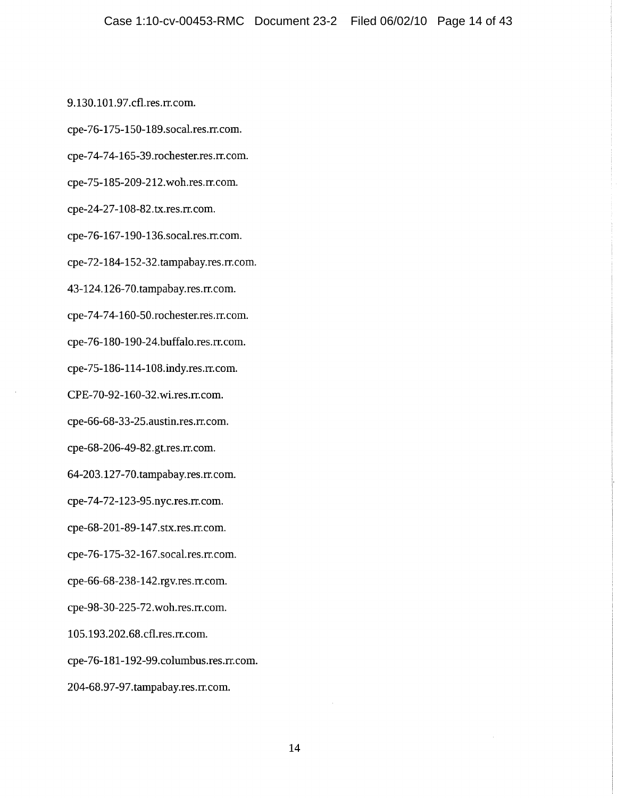9.130.101.97.cfl.res.rr.com. cpe-76-175-150-189.socal.res.rr.com. cpe-74-74-165-39.rochester.res.rr.com. cpe-75-185-209-212.woh.res.rr.com. cpe-24-27-108-82.tx.res.rr.com. cpe-76-167-190-136.socal.res.rr.com. cpe-72-184-152-32.tampabay.res.rr.com. 43-124.126-70.tampabay.res.rr.com. cpe-74-74-160-50.rochester.res.rr.com. cpe-76-180-190-24.buffalo.res.rr.com. cpe-75-186-114-108.indy.res.rr.com. CPE-70-92-160-32.wi.res.rr.com. cpe-66-68-33-25.austin.res.rr.com. cpe-68-206-49-82.gt.res.rr.com. 64-203.127-70.tampabay.res.rr.com. cpe-74-72-123-95.nyc.res.rr.com. cpe-68-201-89-147.stx.res.rr.com. cpe-76-175-32-167.socal.res.rr.com. cpe-66-68-238-142.rgv.res.rr.com. cpe-98-30-225-72.woh.res.rr.com. 105.193.202.68.cfl.res.rr.com. cpe-76-181-192-99.columbus.res.rr.com. 204-68.97-97.tampabay.res.rr.com.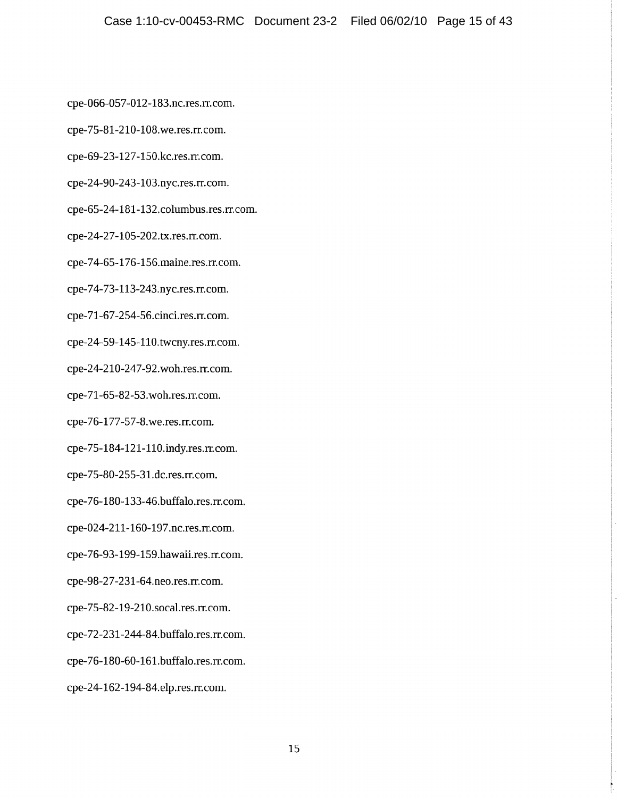cpe-066-057-012-183.nc.res.rr.com.

cpe-75-81-210-108.we.res.rr.com.

cpe-69-23-127-150.kc.res.rr.com.

cpe-24-90-243-103.nyc.res.rr.com.

cpe-65-24-181-132.columbus.res.rr.com.

cpe-24-27-105-202.tx.res.rr.com.

cpe-74-65-176-156.maine.res.rr.com.

cpe-74-73-113-243.nyc.res.rr.com.

cpe-71-67-254-56.cinci.res.rr.com.

cpe-24-59-145-110.twcny.res.rr.com.

cpe-24-210-247-92.woh.res.rr.com.

cpe-71-65-82-53.woh.res.rr.com.

cpe-76-177-57-8.we.res.rr.com.

cpe-75-184-121-110.indy.res.rr.com.

cpe-75-80-255-31.dc.res.rr.com.

cpe-76-180-133-46.buffalo.res.rr.com.

cpe-024-211-160-197.nc.res.rr.com.

cpe-76-93-199-159.hawaii.res.rr.com.

cpe-98-27-231-64.neo.res.rr.com.

cpe-75-82-19-210.socal.res.rr.com.

cpe-72-231-244-84.buffalo.res.rr.com.

cpe-76-180-60-161.buffalo.res.rr.com.

cpe-24-162-194-84.elp.res.rr.com.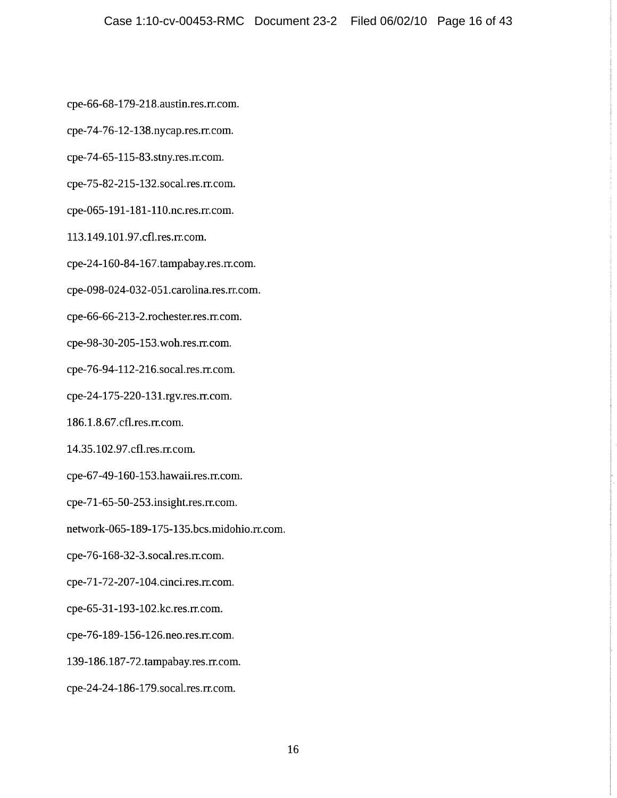cpe-66-68-179-218.austin.res.rr.com.

cpe-74-76-12-138.nycap.res.rr.com.

cpe-74-65-115-83.stny.res.rr.com.

cpe-75-82-215-132.socal.res.rr.com.

cpe-065-191-181-110.nc.res.rr.com.

113.149.101.97.cfl.res.rr.com.

cpe-24-160-84-167.tampabay.res.rr.com.

cpe-098-024-032-051.carolina.res.rr.com.

cpe-66-66-213-2.rochester.res.rr.com.

cpe-98-30-205-153.woh.res.rr.com.

cpe-76-94-112-216.socal.res.rr.com.

cpe-24-175-220-131.rgv.res.rr.com.

186.1.8.67.cfl.res.rr.com.

14.35.102.97.cfl.res.rr.com.

cpe-67-49-160-153.hawaii.res.rr.com.

cpe-71-65-50-253.insight.res.rr.com.

network-065-189-175-135.bcs.midohio.rr.com.

cpe-76-168-32-3.socal.res.rr.com.

cpe-71-72-207-104.cinci.res.rr.com.

cpe-65-31-193-102.kc.res.rr.com.

cpe-76-189-156-126.neo.res.rr.com.

139-186.187-72.tampabay.res.rr.com.

cpe-24-24-186-179.socal.res.rr.com.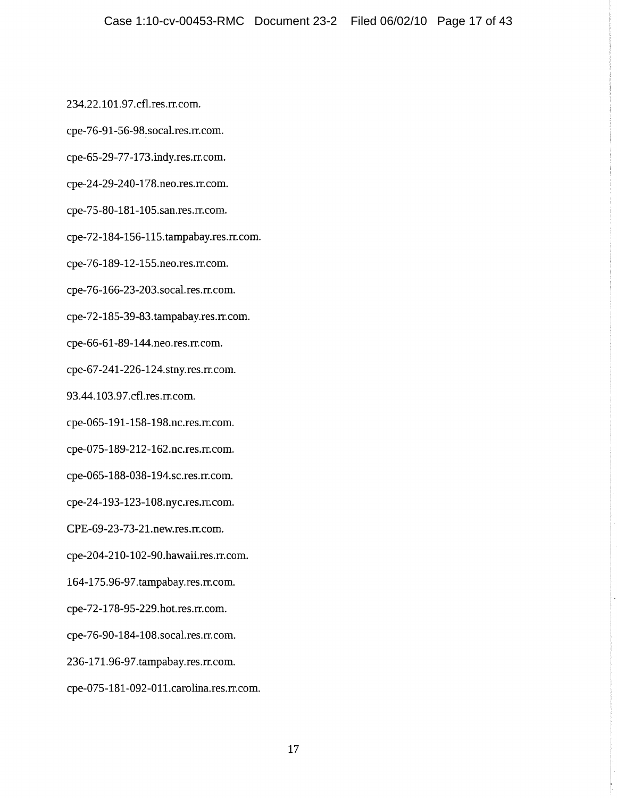234.22.101.97.cfl.res.rr.com.

cpe-76-91-56-98.socal.res.rr.com.

cpe-65-29-77-173.indy.res.rr.com.

cpe-24-29-240-178.neo.res.rr.com.

cpe-75-80-181-105.san.res.rr.com.

cpe-72-184-156-115.tampabay.res.rr.com.

cpe-76-189-12-155.neo.res.rr.com.

cpe-76-166-23-203.socal.res.rr.com.

cpe-72-185-39-83.tampabay.res.rr.com.

cpe-66-61-89-144.neo.res.rr.com.

cpe-67-241-226-124.stny.res.rr.com.

93.44.103.97.cfl.res.rr.com.

cpe-065-191-158-198.nc.res.rr.com.

cpe-075-189-212-162.nc.res.rr.com.

cpe-065-188-038-194.sc.res.rr.com.

cpe-24-193-123-108.nyc.res.rr.com.

CPE-69-23-73-21.new.res.rr.com.

cpe-204-210-102-90.hawaii.res.rr.com.

164-175.96-97.tampabay.res.rr.com.

cpe-72-178-95-229.hot.res.rr.com.

cpe-76-90-184-108.socal.res.rr.com.

236-171.96-97.tampabay.res.rr.com.

cpe-075-181-092-011.carolina.res.rr.com.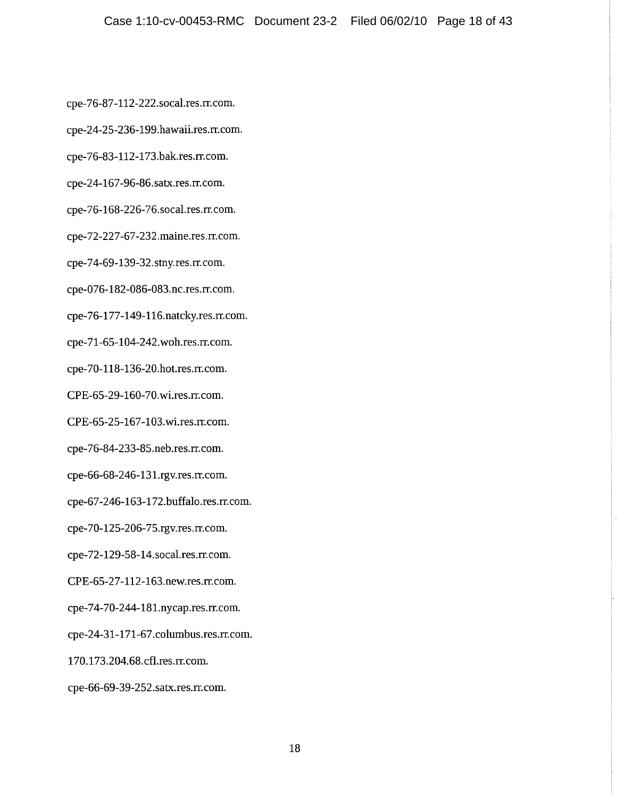cpe-76-87-112-222.socal.res.rr.com.

cpe-24-25-236-199.hawaii.res.rr.com.

cpe-76-83-112-173.bak.res.rr.com.

cpe-24-167-96-86.satx.res.rr.com.

cpe-76-168-226-76.socal.res.rr.com.

cpe-72-227-67-232.maine.res.rr.com.

cpe-74-69-139-32.stny.res.rr.com.

cpe-076-182-086-083.nc.res.rr.com.

cpe-76-177-149-116.natcky.res.rr.com.

cpe-71-65-104-242.woh.res.rr.com.

cpe-70-118-136-20.hot.res.rr.com.

CPE-65-29-160-70.wi.res.rr.com.

CPE-65-25-167-103.wi.res.rr.com.

cpe-76-84-233-85.neb.res.rr.com.

cpe-66-68-246-131.rgv.res.rr.com.

cpe-67-246-163-172.buffalo.res.rr.com.

cpe-70-125-206-75.rgv.res.rr.com.

cpe-72-129-58-14.socal.res.rr.com.

CPE-65-27-112-163.new.res.rr.com.

cpe-74-70-244-181.nycap.res.rr.com.

cpe-24-31-171-67.columbus.res.rr.com.

170.173.204.68.cfl.res.rr.com.

cpe-66-69-39-252.satx.res.rr.com.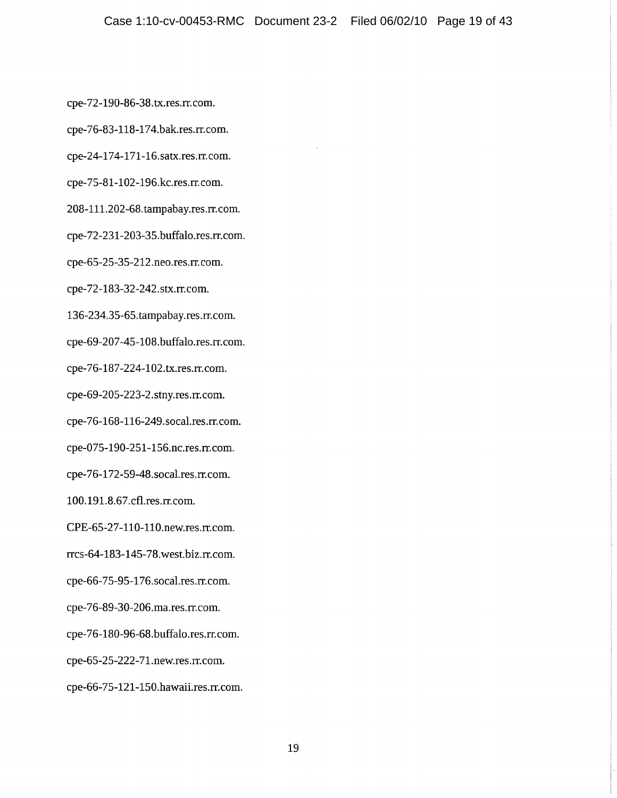cpe-72-190-86-38.tx.res.rr.com.

cpe-76-83-118-174.bak.res.rr.com.

cpe-24-174-171-16.satx.res.rr.com.

cpe-75-81-102-196.kc.res.rr.com.

208-111.202-68.tampabay.res.rr.com.

cpe-72-231-203-35.buffalo.res.rr.com.

cpe-65-25-35-212.neo.res.rr.com.

cpe-72-183-32-242.stx.rr.com.

136-234.35-65.tampabay.res.rr.com.

cpe-69-207-45-108.buffalo.res.rr.com.

cpe-76-187-224-102.tx.res.rr.com.

cpe-69-205-223-2.stny.res.rr.com.

cpe-76-168-116-249.socal.res.rr.com.

cpe-075-190-251-156.nc.res.rr.com.

cpe-76-172-59-48.socal.res.rr.com.

100.191.8.67.cfl.res.rr.com.

CPE-65-27-110-110.new.res.rr.com.

rrcs-64-183-145-78.west.biz.rr.com.

cpe-66-75-95-176.socal.res.rr.com.

cpe-76-89-30-206.ma.res.rr.com.

cpe-76-180-96-68.buffalo.res.rr.com.

cpe-65-25-222-71.new.res.rr.com.

cpe-66-75-121-150.hawaii.res.rr.com.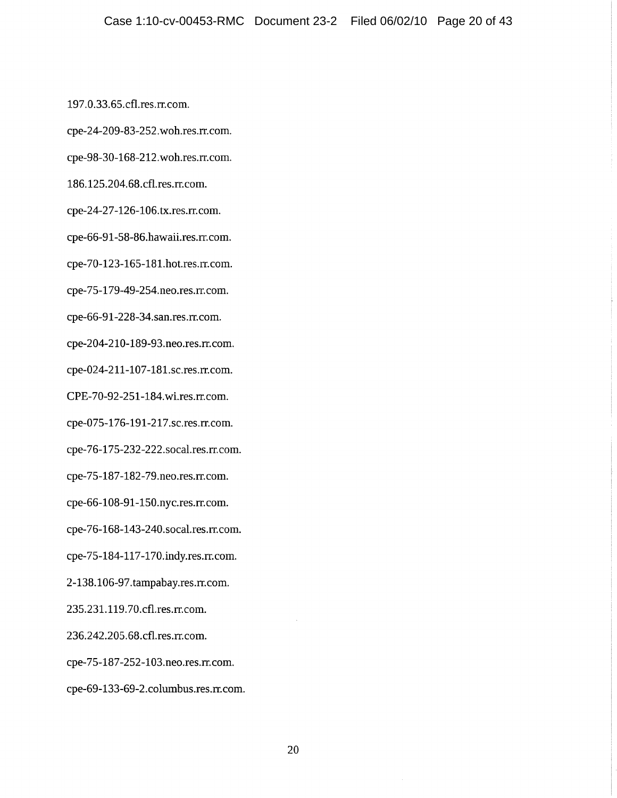197.0.33.65.cfl.res.rr.com.

cpe-24-209-83-252.woh.res.rr.com.

cpe-98-30-168-212.woh.res.rr.com.

186.125.204.68.cfl.res.rr.com.

cpe-24-27-126-106.tx.res.rr.com.

cpe-66-91-58-86.hawaii.res.rr.com.

cpe-70-123-165-181.hot.res.rr.com.

cpe-75-179-49-254.neo.res.rr.com.

cpe-66-91-228-34.san.res.rr.com.

cpe-204-210-189-93.neo.res.rr.com.

cpe-024-211-107-181.sc.res.rr.com.

CPE-70-92-251-184.wi.res.rr.com.

cpe-075-176-191-217.sc.res.rr.com.

cpe-76-175-232-222.socal.res.rr.com.

cpe-75-187-182-79.neo.res.rr.com.

cpe-66-108-91-150.nyc.res.rr.com.

cpe-76-168-143-240.socal.res.rr.com.

cpe-75-184-117-170.indy.res.rr.com.

2-138.106-97.tampabay.res.rr.com.

235.231.119.70.cfl.res.rr.com.

236.242.205.68.cfl.res.rr.com.

cpe-75-187-252-103.neo.res.rr.com.

cpe-69-133-69-2.columbus.res.rr.com.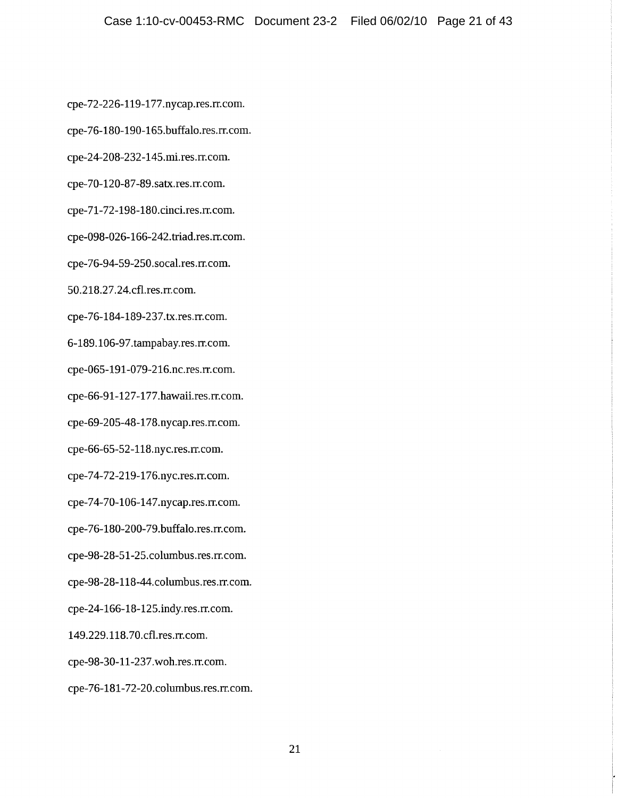cpe-72-226-119-177.nycap.res.rr.com.

cpe-76-180-190-165.buffalo.res.rr.com.

cpe-24-208-232-145.mi.res.rr.com.

cpe-70-120-87-89.satx.res.rr.com.

cpe-71-72-198-180.cinci.res.rr.com.

cpe-098-026-166-242.triad.res.rr.com.

cpe-76-94-59-250.socal.res.rr.com.

50.218.27.24.cfl.res.rr.com.

cpe-76-184-189-237.tx.res.rr.com.

6-189.106-97.tampabay.res.rr.com.

cpe-065-191-079-216.nc.res.rr.com.

cpe-66-91-127-177.hawaii.res.rr.com.

cpe-69-205-48-178.nycap.res.rr.com.

cpe-66-65-52-118.nyc.res.rr.com.

cpe-74-72-219-176.nyc.res.rr.com.

cpe-74-70-106-147.nycap.res.rr.com.

cpe-76-180-200-79.buffalo.res.rr.com.

cpe-98-28-51-25.columbus.res.rr.com.

cpe-98-28-118-44.columbus.res.rr.com.

cpe-24-166-18-125.indy.res.rr.com.

149.229.118.70.cfl.res.rr.com.

cpe-98-30-11-237.woh.res.rr.com.

cpe-76-181-72-20.columbus.res.rr.com.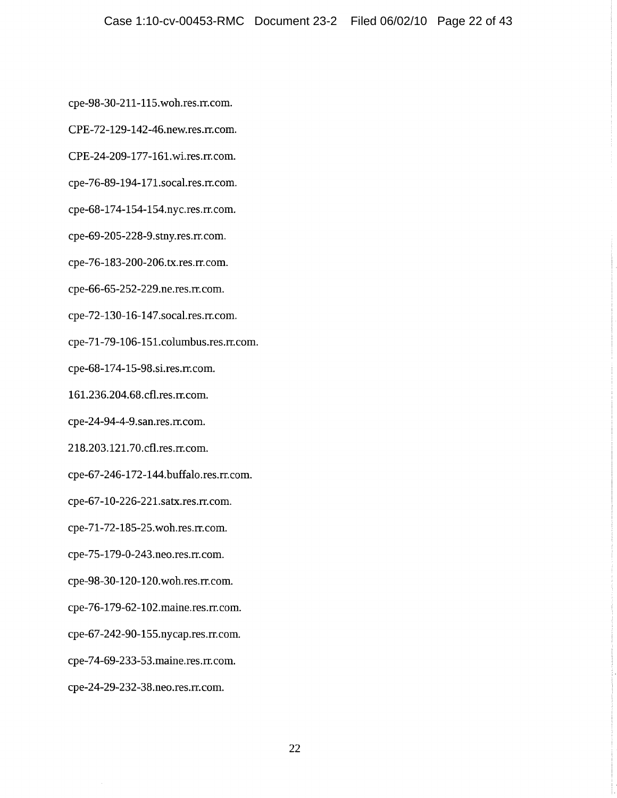cpe-98-30-211-115.woh.res.rr.com.

CPE-72-129-142-46.new.res.rr.com.

CPE-24-209-177-161.wi.res.rr.com.

cpe-76-89-194-171.socal.res.rr.com.

cpe-68-174-154-154.nyc.res.rr.com.

cpe-69-205-228-9.stny.res.rr.com.

cpe-76-183-200-206.tx.res.rr.com.

cpe-66-65-252-229.ne.res.rr.com.

cpe-72-130-16-147.socal.res.rr.com.

cpe-71-79-106-151.columbus.res.rr.com.

cpe-68-174-15-98.si.res.rr.com.

161.236.204.68.cfl.res.rr.com.

cpe-24-94-4-9.san.res.rr.com.

218.203.121.70.cfl.res.rr.com.

cpe-67-246-172-144.buffalo.res.rr.com.

cpe-67-10-226-221.satx.res.rr.com.

cpe-71-72-185-25.woh.res.rr.com.

cpe-75-179-0-243.neo.res.rr.com.

cpe-98-30-120-120.woh.res.rr.com.

cpe-76-179-62-102.maine.res.rr.com.

cpe-67-242-90-155.nycap.res.rr.com.

cpe-74-69-233-53.maine.res.rr.com.

cpe-24-29-232-38.neo.res.rr.com.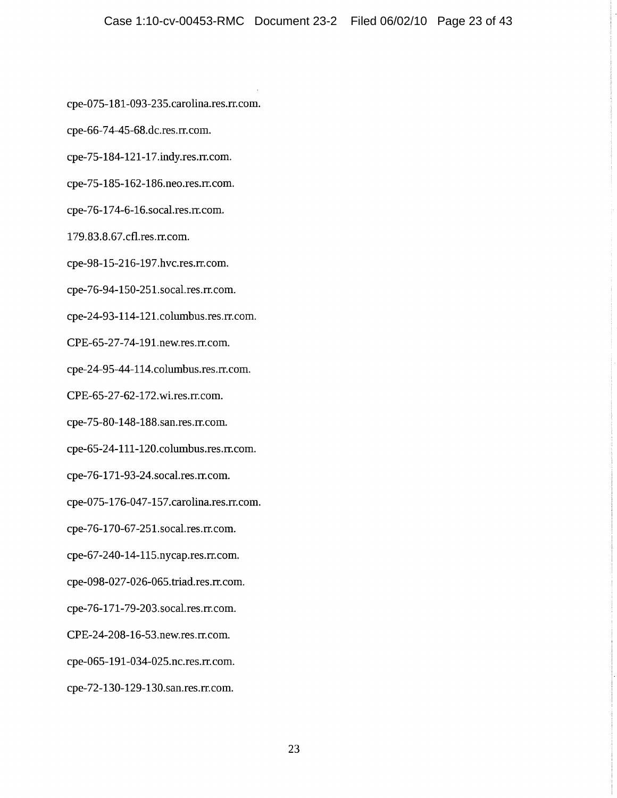cpe-075-181-093-235.carolina.res.rr.com.

cpe-66-74-45-68.dc.res.rr.com.

cpe-75-184-121-17.indy.res.rr.com.

cpe-75-185-162-186.neo.res.rr.com.

cpe-76-174-6-16.socal.res.rr.com.

179.83.8.67.cfl.res.rr.com.

cpe-98-15-216-197.hvc.res.rr.com.

cpe-76-94-150-251.socal.res.rr.com.

cpe-24-93-114-121.columbus.res.rr.com.

CPE-65-27-74-191.new.res.rr.com.

cpe-24-95-44-114.columbus.res.rr.com.

CPE-65-27-62-172.wi.res.rr.com.

cpe-75-80-148-188.san.res.rr.com.

cpe-65-24-111-120.columbus.res.rr.com.

cpe-76-171-93-24.socal.res.rr.com.

cpe-075-176-047-157.carolina.res.rr.com.

cpe-76-170-67-251.socal.res.rr.com.

cpe-67-240-14-115.nycap.res.rr.com.

cpe-098-027-026-065.triad.res.rr.com.

cpe-76-171-79-203.socal.res.rr.com.

CPE-24-208-16-53.new.res.rr.com.

cpe-065-191-034-025.nc.res.rr.com.

cpe-72-130-129-130.san.res.rr.com.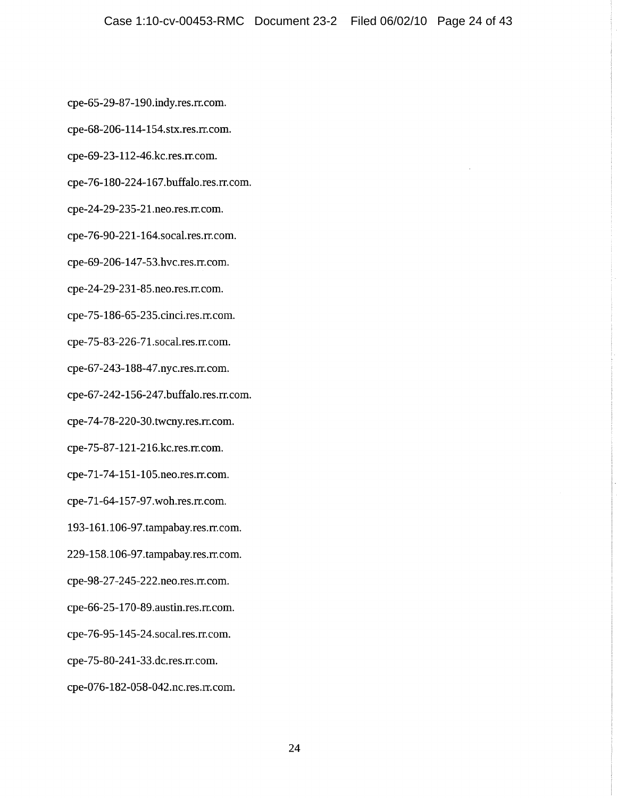cpe-65-29-87-190.indy.res.rr.com.

cpe-68-206-114-154.stx.res.rr.com.

cpe-69-23-112-46.kc.res.rr.com.

cpe-76-180-224-167.buffalo.res.rr.com.

cpe-24-29-235-21.neo.res.rr.com.

cpe-76-90-221-164.socal.res.rr.com.

cpe-69-206-147-53.hvc.res.rr.com.

cpe-24-29-231-85.neo.res.rr.com.

cpe-75-186-65-235.cinci.res.rr.com.

cpe-75-83-226-71.socal.res.rr.com.

cpe-67-243-188-47.nyc.res.rr.com.

cpe-67-242-156-247.buffalo.res.rr.com.

cpe-74-78-220-30.twcny.res.rr.com.

cpe-75-87-121-216.kc.res.rr.com.

cpe-71-74-151-105.neo.res.rr.com.

cpe-71-64-157-97.woh.res.rr.com.

193-161.106-97.tampabay.res.rr.com.

229-158.106-97.tampabay.res.rr.com.

cpe-98-27-245-222.neo.res.rr.com.

cpe-66-25-170-89.austin.res.rr.com.

cpe-76-95-145-24.socal.res.rr.com.

cpe-75-80-241-33.dc.res.rr.com.

cpe-076-182-058-042.nc.res.rr.com.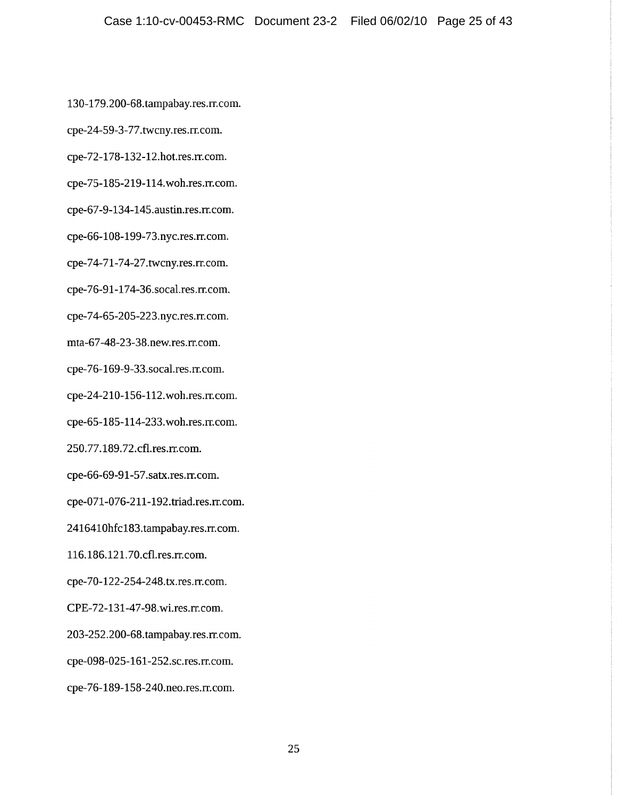130-179.200-68.tampabay.res.rr.com.

cpe-24-59-3-77.twcny.res.rr.com.

cpe-72-178-132-12.hot.res.rr.com.

cpe-75-185-219-114.woh.res.rr.com.

cpe-67-9-134-145.austin.res.rr.com.

cpe-66-108-199-73.nyc.res.rr.com.

cpe-74-71-74-27.twcny.res.rr.com.

cpe-76-91-174-36.socal.res.rr.com.

cpe-74-65-205-223.nyc.res.rr.com.

mta-67-48-23-38.new.res.rr.com.

cpe-76-169-9-33.socal.res.rr.com.

cpe-24-210-156-112.woh.res.rr.com.

cpe-65-185-114-233.woh.res.rr.com.

250.77.189.72.cfl.res.rr.com.

cpe-66-69-91-57.satx.res.rr.com.

cpe-071-076-211-192.triad.res.rr.com.

2416410hfc183.tampabay.res.rr.com.

116.186.121.70.cfl.res.rr.com.

cpe-70-122-254-248.tx.res.rr.com.

CPE-72-131-47-98.wi.res.rr.com.

203-252.200-68.tampabay.res.rr.com.

cpe-098-025-161-252.sc.res.rr.com.

cpe-76-189-158-240.neo.res.rr.com.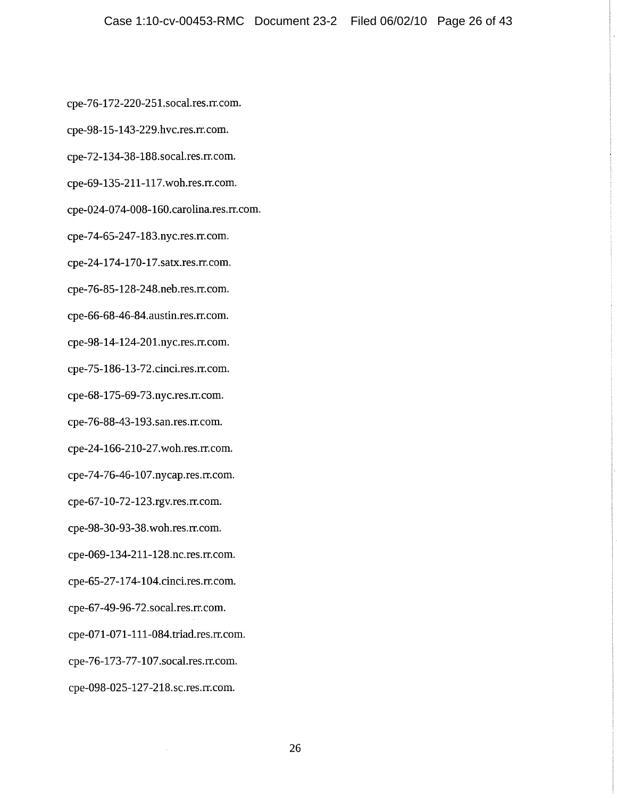cpe-76-172-220-251.socal.res.rr.com.

cpe-98-15-143-229.hvc.res.rr.com.

cpe-72-134-38-188.socal.res.rr.com.

cpe-69-135-211-117.woh.res.rr.com.

cpe-024-074-008-160.carolina.res.rr.com.

cpe-74-65-247-183.nyc.res.rr.com.

cpe-24-174-170-17.satx.res.rr.com.

cpe-76-85-128-248.neb.res.rr.com.

cpe-66-68-46-84.austin.res.rr.com.

cpe-98-14-124-201.nyc.res.rr.com.

cpe-75-186-13-72.cinci.res.rr.com.

cpe-68-175-69-73.nyc.res.rr.com.

cpe-76-88-43-193.san.res.rr.com.

cpe-24-166-210-27.woh.res.rr.com.

cpe-74-76-46-107.nycap.res.rr.com.

cpe-67-10-72-123.rgv.res.rr.com.

cpe-98-30-93-38.woh.res.rr.com.

cpe-069-134-211-128.nc.res.rr.com.

cpe-65-27-174-104.cinci.res.rr.com.

cpe-67-49-96-72.socal.res.rr.com.

cpe-071-071-111-084.triad.res.rr.com.

cpe-76-173-77-107.socal.res.rr.com.

cpe-098-025-127-218.sc.res.rr.com.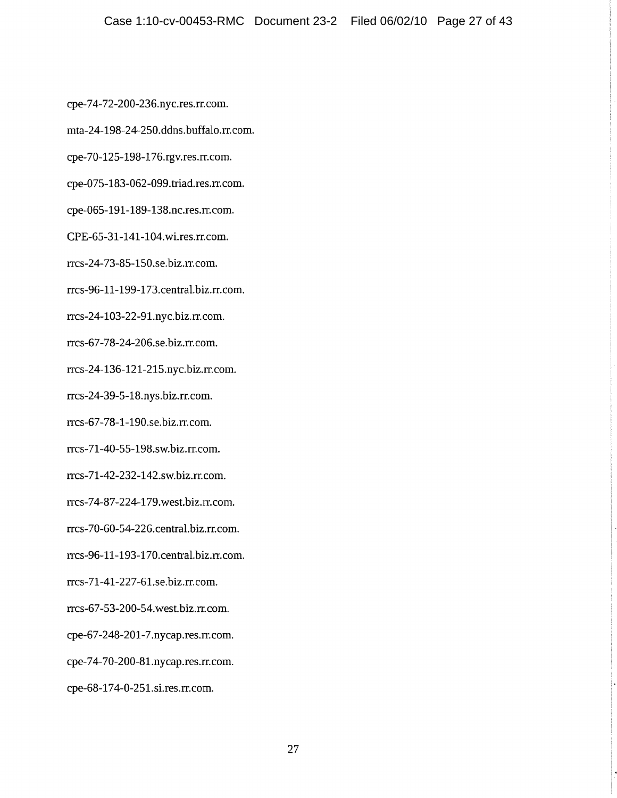cpe-74-72-200-236.nyc.res.rr.com.

mta-24-198-24-250.ddns.buffalo.rr.com.

cpe-70-125-198-176.rgv.res.rr.com.

cpe-075-183-062-099.triad.res.rr.com.

cpe-065-191-189-138.nc.res.rr.com.

CPE-65-31-141-104.wi.res.rr.com.

rrcs-24-73-85-150.se.biz.rr.com.

rrcs-96-11-199-173.central.biz.rr.com.

rrcs-24-103-22-91.nyc.biz.rr.com.

rrcs-67-78-24-206.se.biz.rr.com.

rrcs-24-136-121-215.nyc.biz.rr.com.

rrcs-24-39-5-18.nys.biz.rr.com.

rrcs-67-78-1-190.se.biz.rr.com.

rrcs-71-40-55-198.sw.biz.rr.com.

rrcs-71-42-232-142.sw.biz.rr.com.

rrcs-74-87-224-179.west.biz.rr.com.

rrcs-70-60-54-226.central.biz.rr.com.

rrcs-96-11-193-170.central.biz.rr.com.

rrcs-71-41-227-61.se.biz.rr.com.

rrcs-67-53-200-54.west.biz.rr.com.

cpe-67-248-201-7.nycap.res.rr.com.

cpe-74-70-200-81.nycap.res.rr.com.

cpe-68-174-0-251.si.res.rr.com.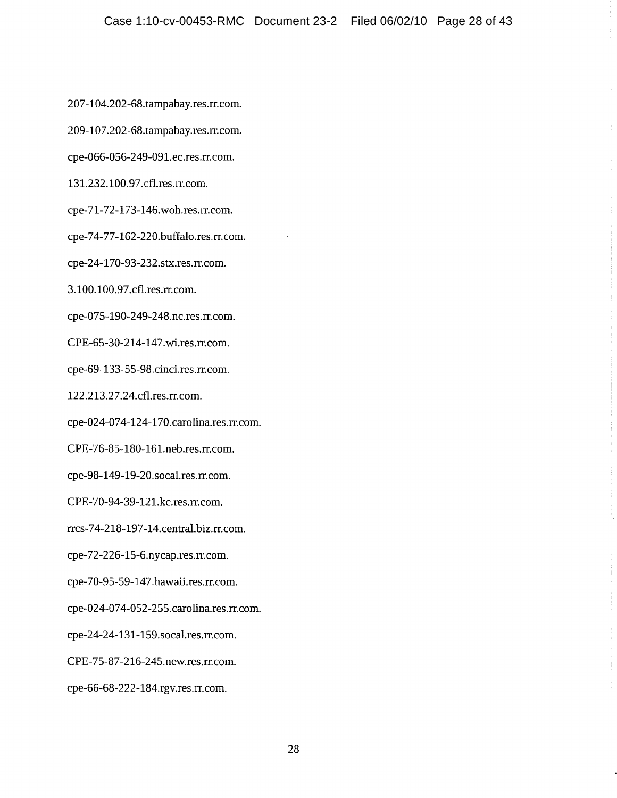207-104.202-68.tampabay.res.rr.com.

209-107.202-68.tampabay.res.rr.com.

cpe-066-056-249-091.ec.res.rr.com.

131.232.100.97.cfl.res.rr.com.

cpe-71-72-173-146.woh.res.rr.com.

cpe-74-77-162-220.buffalo.res.rr.com.

cpe-24-170-93-232.stx.res.rr.com.

3.100.100.97.cfl.res.rr.com.

cpe-075-190-249-248.nc.res.rr.com.

CPE-65-30-214-147.wi.res.rr.com.

cpe-69-133-55-98.cinci.res.rr.com.

122.213.27.24.cfl.res.rr.com.

cpe-024-074-124-170.carolina.res.rr.com.

CPE-76-85-180-161.neb.res.rr.com.

cpe-98-149-19-20.socal.res.rr.com.

CPE-70-94-39-121.kc.res.rr.com.

rrcs-74-218-197-14.central.biz.rr.com.

cpe-72-226-15-6.nycap.res.rr.com.

cpe-70-95-59-147.hawaii.res.rr.com.

cpe-024-074-052-255.carolina.res.rr.com.

cpe-24-24-131-159.socal.res.rr.com.

CPE-75-87-216-245.new.res.rr.com.

cpe-66-68-222-184.rgv.res.rr.com.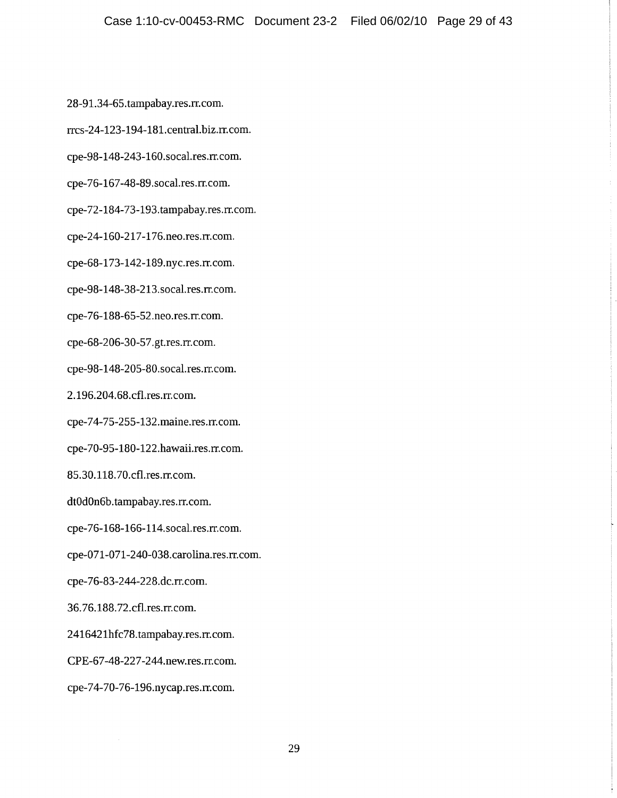28-91.34-65.tampabay.res.rr.com.

rrcs-24-123-194-181.central.biz.rr.com.

cpe-98-148-243-160.socal.res.rr.com.

cpe-76-167-48-89.socal.res.rr.com.

cpe-72-184-73-193.tampabay.res.rr.com.

cpe-24-160-217-176.neo.res.rr.com.

cpe-68-173-142-189.nyc.res.rr.com.

cpe-98-148-38-213.socal.res.rr.com.

cpe-76-188-65-52.neo.res.rr.com.

cpe-68-206-30-57.gt.res.rr.com.

cpe-98-148-205-80.socal.res.rr.com.

2.196.204.68.cfl.res.rr.com.

cpe-74-75-255-132.maine.res.rr.com.

cpe-70-95-180-122.hawaii.res.rr.com.

85.30.118.70.cfl.res.rr.com.

dt0d0n6b.tampabay.res.rr.com.

cpe-76-168-166-114.socal.res.rr.com.

cpe-071-071-240-038.carolina.res.rr.com.

cpe-76-83-244-228.dc.rr.com.

36.76.188.72.cfl.res.rr.com.

2416421hfc78.tampabay.res.rr.com.

CPE-67-48-227-244.new.res.rr.com.

cpe-74-70-76-196.nycap.res.rr.com.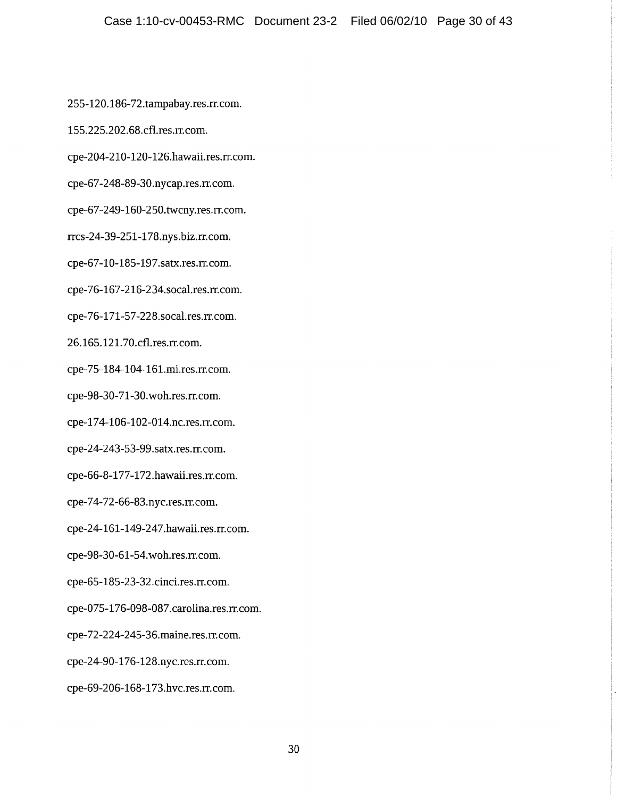255-120.186-72.tampabay.res.rr.com.

155.225.202.68.cfl.res.rr.com.

cpe-204-210-120-126.hawaii.res.rr.com.

cpe-67-248-89-30.nycap.res.rr.com.

cpe-67-249-160-250.twcny.res.rr.com.

rrcs-24-39-251-178.nys.biz.rr.com.

cpe-67-10-185-197.satx.res.rr.com.

cpe-76-167-216-234.socal.res.rr.com.

cpe-76-171-57-228.socal.res.rr.com.

26.165.121.70.cfl.res.rr.com.

cpe-75-184-104-161.mi.res.rr.com.

cpe-98-30-71-30.woh.res.rr.com.

cpe-174-106-102-014.nc.res.rr.com.

cpe-24-243-53-99.satx.res.rr.com.

cpe-66-8-177-172.hawaii.res.rr.com.

cpe-74-72-66-83.nyc.res.rr.com.

cpe-24-161-149-247.hawaii.res.rr.com.

cpe-98-30-61-54.woh.res.rr.com.

cpe-65-185-23-32.cinci.res.rr.com.

cpe-075-176-098-087.carolina.res.rr.com.

cpe-72-224-245-36.maine.res.rr.com.

cpe-24-90-176-128.nyc.res.rr.com.

cpe-69-206-168-173.hvc.res.rr.com.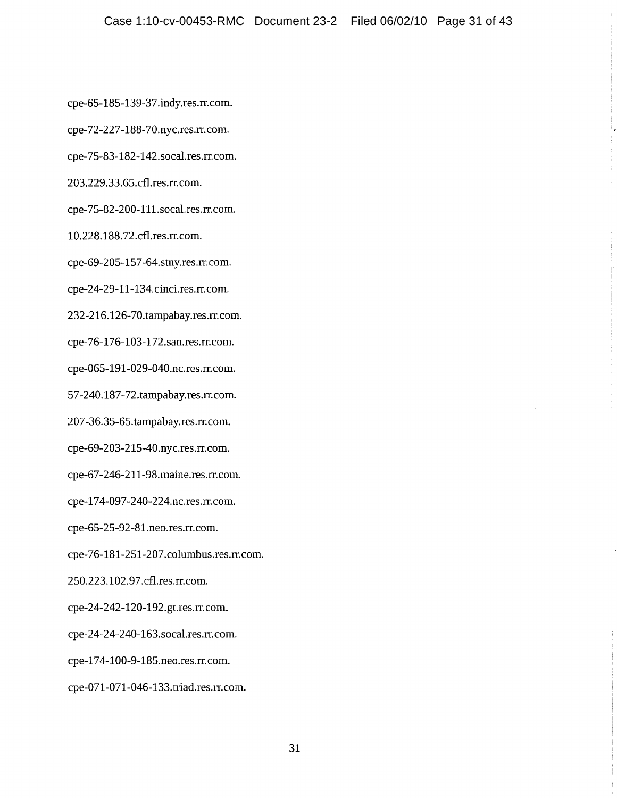cpe-65-185-139-37.indy.res.rr.com.

cpe-72-227-188-70.nyc.res.rr.com.

cpe-75-83-182-142.socal.res.rr.com.

203.229.33.65.cfl.res.rr.com.

cpe-75-82-200-111.socal.res.rr.com.

10.228.188.72.cfl.res.rr.com.

cpe-69-205-157-64.stny.res.rr.com.

cpe-24-29-11-134.cinci.res.rr.com.

232-216.126-70.tampabay.res.rr.com.

cpe-76-176-103-172.san.res.rr.com.

cpe-065-191-029-040.nc.res.rr.com.

57-240.187-72.tampabay.res.rr.com.

207-36.35-65.tampabay.res.rr.com.

cpe-69-203-215-40.nyc.res.rr.com.

cpe-67-246-211-98.maine.res.rr.com.

cpe-174-097-240-224.nc.res.rr.com.

cpe-65-25-92-81.neo.res.rr.com.

cpe-76-181-251-207.columbus.res.rr.com.

250.223.102.97.cfl.res.rr.com.

cpe-24-242-120-192.gt.res.rr.com.

cpe-24-24-240-163.socal.res.rr.com.

cpe-174-100-9-185.neo.res.rr.com.

cpe-071-071-046-133.triad.res.rr.com.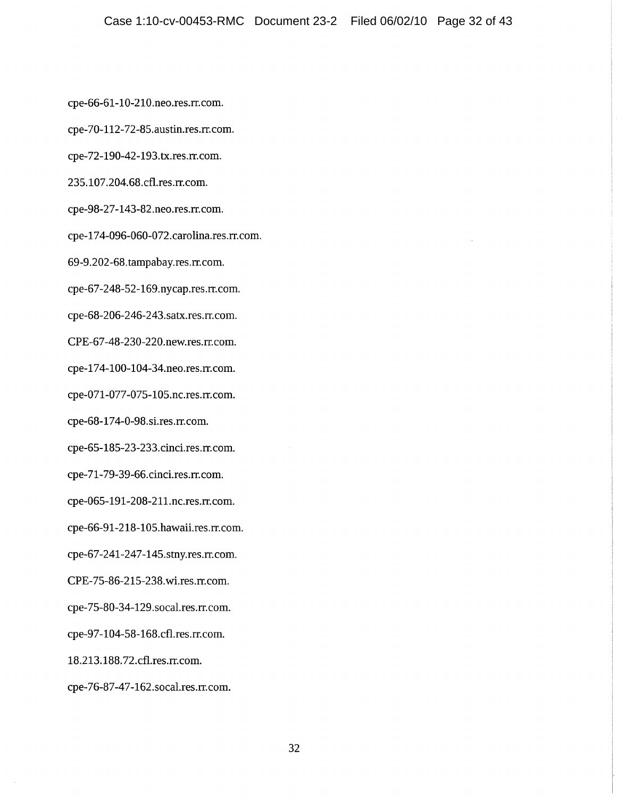cpe-66-61-10-210.neo.res.rr.com.

cpe-70-112-72-85.austin.res.rr.com.

cpe-72-190-42-193.tx.res.rr.com.

235.107.204.68.cfl.res.rr.com.

cpe-98-27-143-82.neo.res.rr.com.

cpe-174-096-060-072.carolina.res.rr.com.

69-9.202-68.tampabay.res.rr.com.

cpe-67-248-52-169.nycap.res.rr.com.

cpe-68-206-246-243.satx.res.rr.com.

CPE-67-48-230-220.new.res.rr.com.

cpe-174-100-104-34.neo.res.rr.com.

cpe-071-077-075-105.nc.res.rr.com.

cpe-68-174-0-98.si.res.rr.com.

cpe-65-185-23-233.cinci.res.rr.com.

cpe-71-79-39-66.cinci.res.rr.com.

cpe-065-191-208-211.nc.res.rr.com.

cpe-66-91-218-105.hawaii.res.rr.com.

cpe-67-241-247-145.stny.res.rr.com.

CPE-75-86-215-238.wi.res.m.com.

cpe-75-80-34-129.socal.res.rr.com.

cpe-97-104-58-168.cfl.res.rr.com.

18.213.188.72.cfl.res.rr.com.

cpe-76-87-47-162.socal.res.rr.com.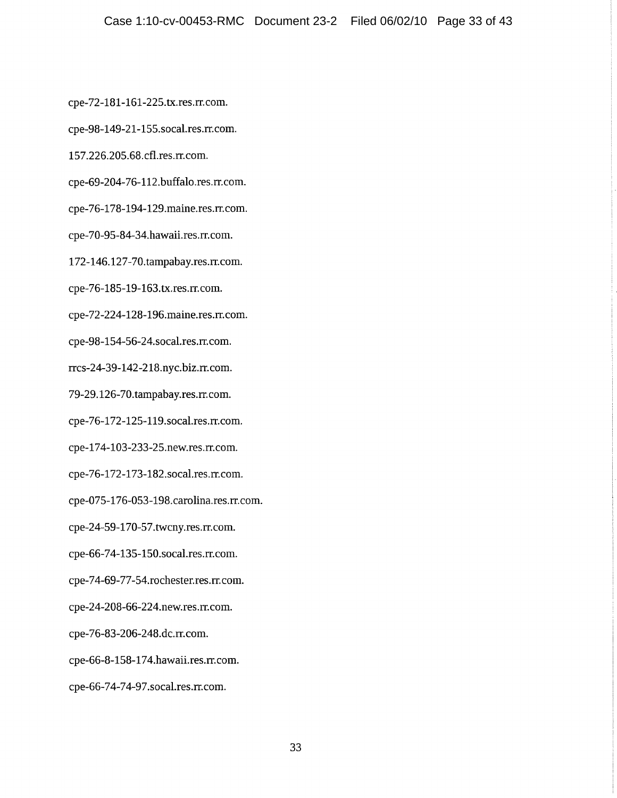cpe-72-181-161-225.tx.res.rr.com.

cpe-98-149-21-155.socal.res.rr.com.

157.226.205.68.cfl.res.rr.com.

cpe-69-204-76-112.buffalo.res.rr.com.

cpe-76-178-194-129.maine.res.rr.com.

cpe-70-95-84-34.hawaii.res.rr.com.

172-146.127-70.tampabay.res.rr.com.

cpe-76-185-19-163.tx.res.rr.com.

cpe-72-224-128-196.maine.res.rr.com.

cpe-98-154-56-24.socal.res.rr.com.

rrcs-24-39-142-218.nyc.biz.rr.com.

79-29.126-70.tampabay.res.rr.com.

cpe-76-172-125-119.socal.res.rr.com.

cpe-174-103-233-25.new.res.rr.com.

cpe-76-172-173-182.socal.res.rr.com.

cpe-075-176-053-198.carolina.res.rr.com.

cpe-24-59-170-57.twcny.res.rr.com.

cpe-66-74-135-150.socal.res.rr.com.

cpe-74-69-77-54.rochester.res.rr.com.

cpe-24-208-66-224.new.res.rr.com.

cpe-76-83-206-248.dc.rr.com.

cpe-66-8-158-174.hawaii.res.rr.com.

cpe-66-74-74-97.socal.res.rr.com.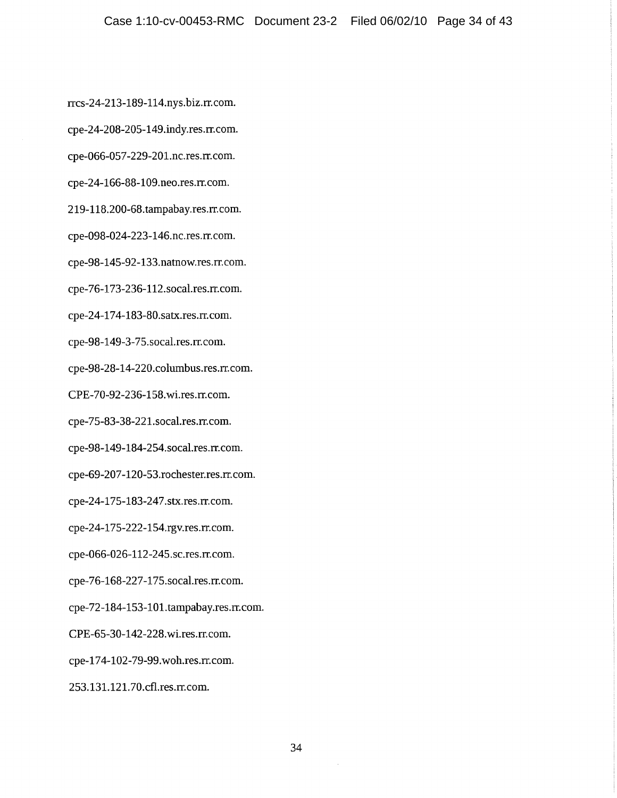rrcs-24-213-189-114.nys.biz.rr.com.

cpe-24-208-205-149.indy.res.rr.com.

cpe-066-057-229-201.nc.res.rr.com.

cpe-24-166-88-109.neo.res.rr.com.

219-118.200-68.tampabay.res.rr.com.

cpe-098-024-223-146.nc.res.rr.com.

cpe-98-145-92-133.natnow.res.rr.com.

cpe-76-173-236-112.socal.res.rr.com.

cpe-24-174-183-80.satx.res.rr.com.

cpe-98-149-3-75.socal.res.rr.com.

cpe-98-28-14-220.columbus.res.rr.com.

CPE-70-92-236-158.wi.res.rr.com.

cpe-75-83-38-221.socal.res.rr.com.

cpe-98-149-184-254.socal.res.rr.com.

cpe-69-207-120-53.rochester.res.rr.com.

cpe-24-175-183-247.stx.res.rr.com.

cpe-24-175-222-154.rgv.res.rr.com.

cpe-066-026-112-245.sc.res.rr.com.

cpe-76-168-227-175.socal.res.rr.com.

cpe-72-184-153-101.tampabay.res.rr.com.

CPE-65-30-142-228.wi.res.rr.com.

cpe-174-102-79-99.woh.res.rr.com.

253.131.121.70.cfl.res.rr.com.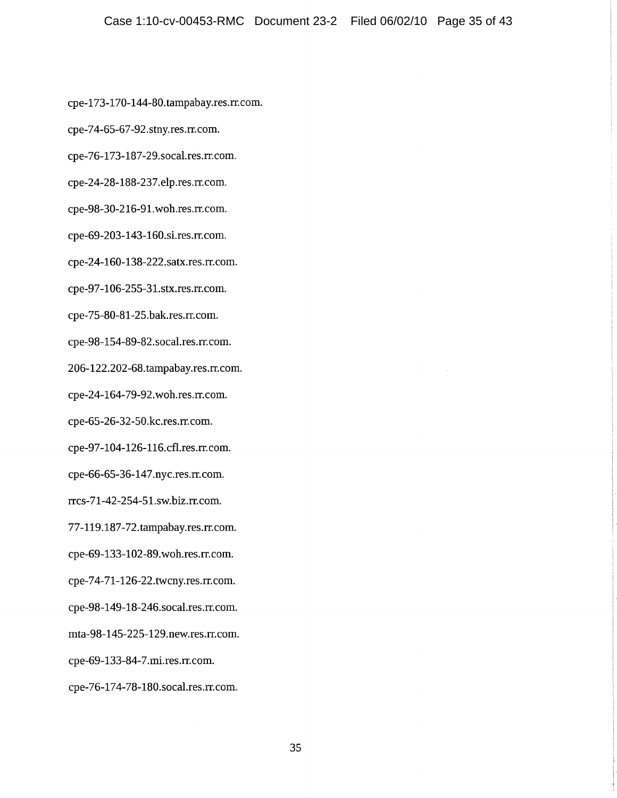cpe-173-170-144-80.tampabay.res.rr.com.

cpe-74-65-67-92.stny.res.rr.com.

cpe-76-173-187-29.socal.res.rr.com.

cpe-24-28-188-237.elp.res.rr.com.

cpe-98-30-216-91.woh.res.rr.com.

cpe-69-203-143-160.si.res.rr.com.

cpe-24-160-138-222.satx.res.rr.com.

cpe-97-106-255-31.stx.res.rr.com.

cpe-75-80-81-25.bak.res.rr.com.

cpe-98-154-89-82.socal.res.rr.com.

206-122.202-68.tampabay.res.rr.com.

cpe-24-164-79-92.woh.res.rr.com.

cpe-65-26-32-50.kc.res.rr.com.

cpe-97-104-126-116.cfl.res.rr.com.

cpe-66-65-36-147.nyc.res.rr.com.

rrcs-71-42-254-51.sw.biz.rr.com.

77-119.187-72.tampabay.res.rr.com.

cpe-69-133-102-89.woh.res.rr.com.

cpe-74-71-126-22.twcny.res.rr.com.

cpe-98-149-18-246.socal.res.rr.com.

mta-98-145-225-129.new.res.rr.com.

cpe-69-133-84-7.mi.res.rr.com.

cpe-76-174-78-180.socal.res.rr.com.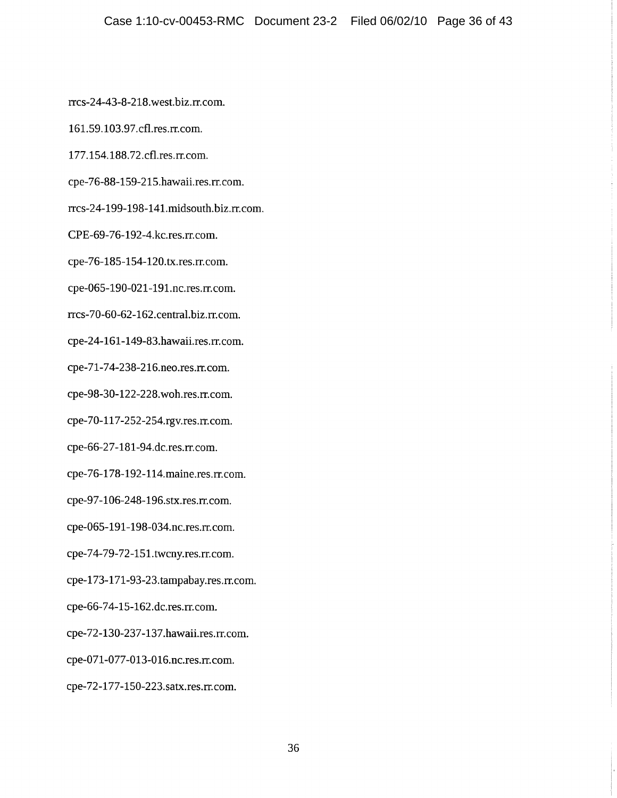rrcs-24-43-8-218.west.biz.rr.com.

161.59.103.97.cfl.res.rr.com.

177.154.188.72.cfl.res.rr.com.

cpe-76-88-159-215.hawaii.res.rr.com.

rrcs-24-199-198-141.midsouth.biz.rr.com.

CPE-69-76-192-4.kc.res.rr.com.

cpe-76-185-154-120.tx.res.rr.com.

cpe-065-190-021-191.nc.res.rr.com.

rrcs-70-60-62-162.central.biz.rr.com.

cpe-24-161-149-83.hawaii.res.rr.com.

cpe-71-74-238-216.neo.res.rr.com.

cpe-98-30-122-228.woh.res.rr.com.

cpe-70-117-252-254.rgv.res.rr.com.

cpe-66-27-181-94.dc.res.rr.com.

cpe-76-178-192-114.maine.res.rr.com.

cpe-97-106-248-196.stx.res.rr.com.

cpe-065-191-198-034.nc.res.rr.com.

cpe-74-79-72-151.twcny.res.rr.com.

cpe-173-171-93-23.tampabay.res.rr.com.

cpe-66-74-15-162.dc.res.rr.com.

cpe-72-130-237-137.hawaii.res.rr.com.

cpe-071-077-013-016.nc.res.rr.com.

cpe-72-177-150-223.satx.res.rr.com.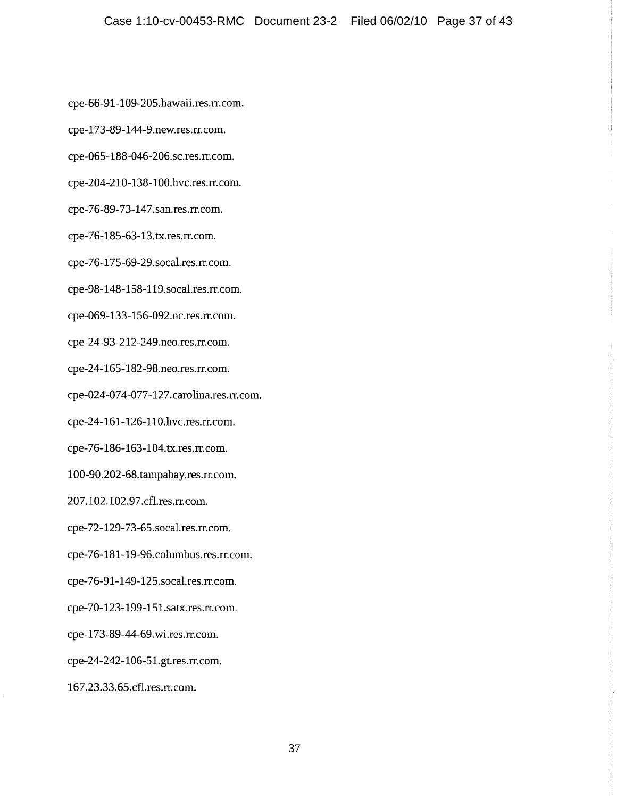cpe-66-91-109-205.hawaii.res.rr.com.

cpe-173-89-144-9.new.res.rr.com.

cpe-065-188-046-206.sc.res.rr.com.

cpe-204-210-138-100.hvc.res.rr.com.

cpe-76-89-73-147.san.res.rr.com.

cpe-76-185-63-13.tx.res.rr.com.

cpe-76-175-69-29.socal.res.rr.com.

cpe-98-148-158-119.socal.res.rr.com.

cpe-069-133-156-092.nc.res.rr.com.

cpe-24-93-212-249.neo.res.rr.com.

cpe-24-165-182-98.neo.res.rr.com.

cpe-024-074-077-127.carolina.res.rr.com.

cpe-24-161-126-110.hvc.res.rr.com.

cpe-76-186-163-104.tx.res.rr.com.

100-90.202-68.tampabay.res.rr.com.

207.102.102.97.cfl.res.rr.com.

cpe-72-129-73-65.socal.res.rr.com.

cpe-76-181-19-96.columbus.res.rr.com.

cpe-76-91-149-125.socal.res.rr.com.

cpe-70-123-199-151.satx.res.rr.com.

cpe-173-89-44-69.wi.res.rr.com.

cpe-24-242-106-51.gt.res.rr.com.

167.23.33.65.cfl.res.rr.com.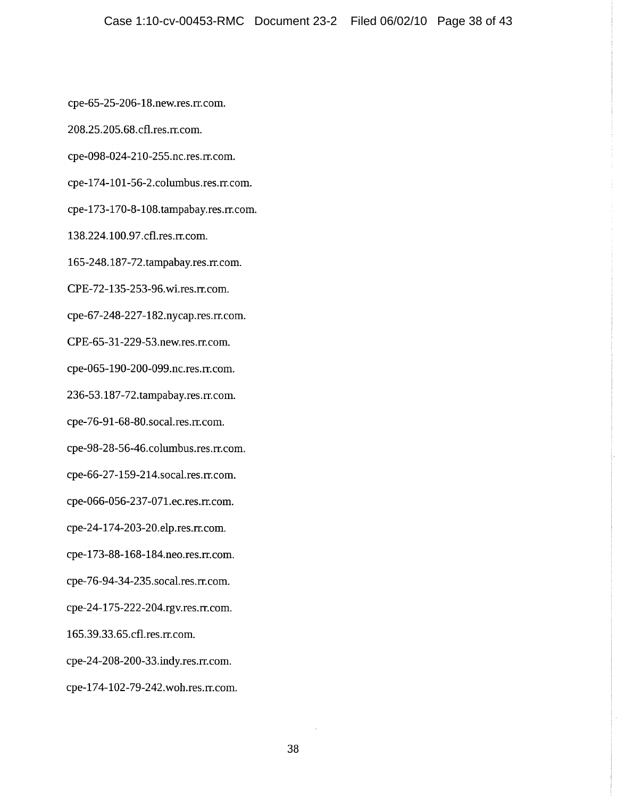cpe-65-25-206-18.new.res.rr.com.

208.25.205.68.cfl.res.rr.com.

cpe-098-024-210-255.nc.res.rr.com.

cpe-174-101-56-2.columbus.res.rr.com.

cpe-173-170-8-108.tampabay.res.rr.com.

138.224.100.97.cfl.res.rr.com.

165-248.187-72.tampabay.res.rr.com.

CPE-72-135-253-96.wi.res.rr.com.

cpe-67-248-227-182.nycap.res.rr.com.

CPE-65-31-229-53.new.res.rr.com.

cpe-065-190-200-099.nc.res.rr.com.

236-53.187-72.tampabay.res.rr.com.

cpe-76-91-68-80.socal.res.rr.com.

cpe-98-28-56-46.columbus.res.rr.com.

cpe-66-27-159-214.socal.res.rr.com.

cpe-066-056-237-071.ec.res.rr.com.

cpe-24-174-203-20.elp.res.rr.com.

cpe-173-88-168-184.neo.res.rr.com.

cpe-76-94-34-235.socal.res.rr.com.

cpe-24-175-222-204.rgv.res.rr.com.

165.39.33.65.cfl.res.rr.com.

cpe-24-208-200-33.indy.res.rr.com.

cpe-174-102-79-242.woh.res.rr.com.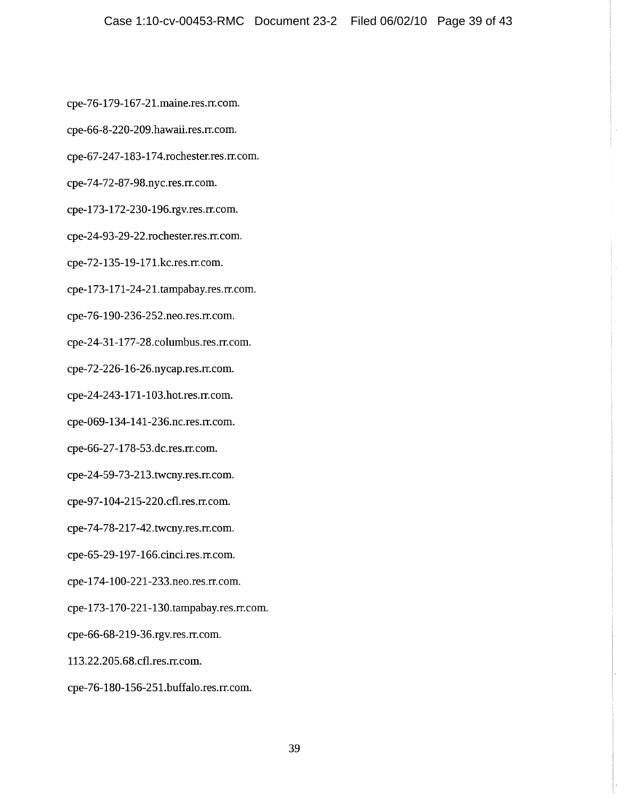cpe-76-179-167-21.maine.res.rr.com.

- cpe-66-8-220-209.hawaii.res.rr.com.
- cpe-67-247-183-174.rochester.res.rr.com.
- cpe-74-72-87-98.nyc.res.rr.com.
- cpe-173-172-230-196.rgv.res.rr.com.
- cpe-24-93-29-22.rochester.res.rr.com.
- cpe-72-135-19-171.kc.res.rr.com.
- cpe-173-171-24-21.tampabay.res.rr.com.
- cpe-76-190-236-252.neo.res.rr.com.
- cpe-24-31-177-28.columbus.res.rr.com.
- cpe-72-226-16-26.nycap.res.rr.com.
- cpe-24-243-171-103.hot.res.rr.com.
- cpe-069-134-141-236.nc.res.rr.com.
- cpe-66-27-178-53.dc.res.rr.com.
- cpe-24-59-73-213.twcny.res.rr.com.
- cpe-97-104-215-220.cfl.res.rr.com.
- cpe-74-78-217-42.twcny.res.rr.com.
- cpe-65-29-197-166.cinci.res.rr.com.
- cpe-174-100-221-233.neo.res.rr.com.
- cpe-173-170-221-130.tampabay.res.rr.com.
- cpe-66-68-219-36.rgv.res.rr.com.
- 113.22.205.68.cfl.res.rr.com.
- cpe-76-180-156-251.buffalo.res.rr.com.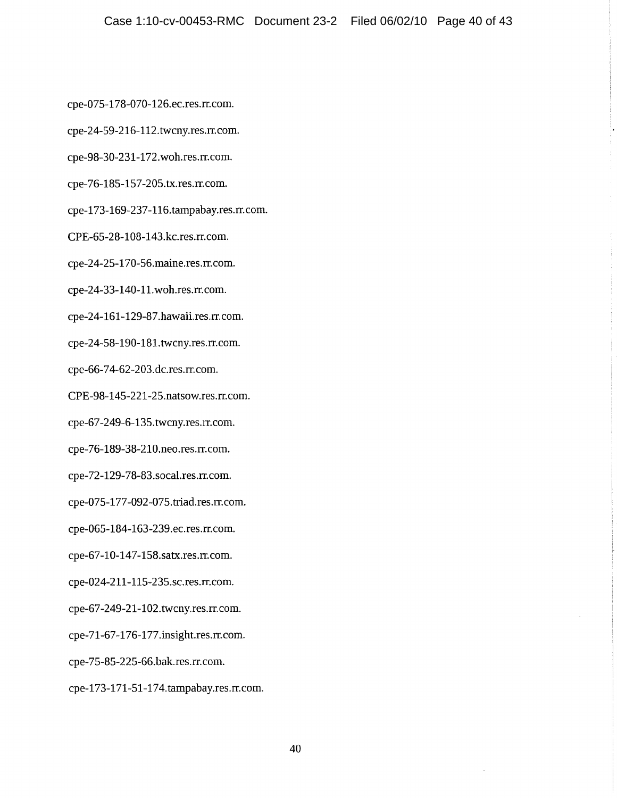cpe-075-178-070-126.ec.res.rr.com.

cpe-24-59-216-112.twcny.res.rr.com.

cpe-98-30-231-172.woh.res.rr.com.

cpe-76-185-157-205.tx.res.rr.com.

cpe-173-169-237-116.tampabay.res.rr.com.

CPE-65-28-108-143.kc.res.rr.com.

cpe-24-25-170-56.maine.res.rr.com.

cpe-24-33-140-11.woh.res.rr.com.

cpe-24-161-129-87.hawaii.res.rr.com.

cpe-24-58-190-181.twcny.res.rr.com.

cpe-66-74-62-203.dc.res.rr.com.

CPE-98-145-221-25.natsow.res.rr.com.

cpe-67-249-6-135.twcny.res.rr.com.

cpe-76-189-38-210.neo.res.rr.com.

cpe-72-129-78-83.socal.res.rr.com.

cpe-075-177-092-075.triad.res.rr.com.

cpe-065-184-163-239.ec.res.rr.com.

cpe-67-10-147-158.satx.res.rr.com.

cpe-024-211-115-235.sc.res.rr.com.

cpe-67-249-21-102.twcny.res.rr.com.

cpe-71-67-176-177.insight.res.rr.com.

cpe-75-85-225-66.bak.res.rr.com.

cpe-173-171-51-174.tampabay.res.rr.com.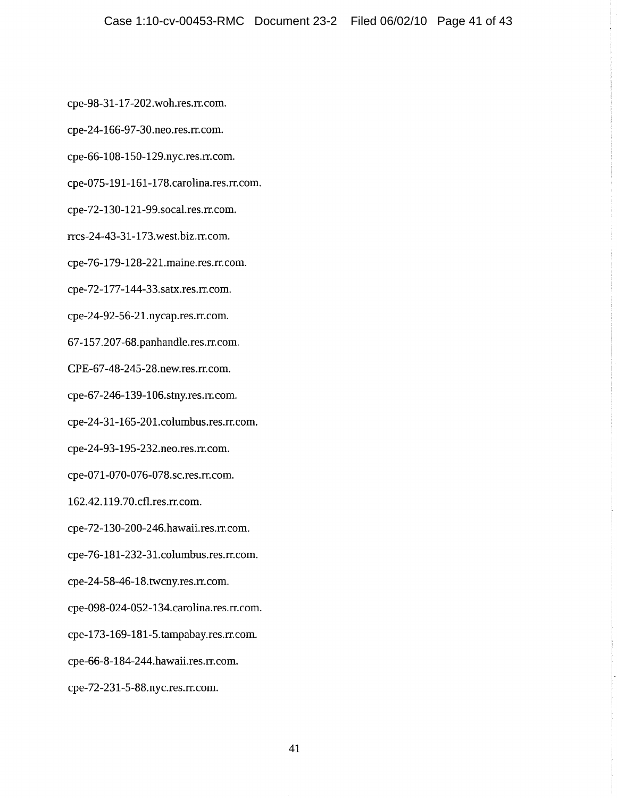cpe-98-31-17-202.woh.res.rr.com.

cpe-24-166-97-30.neo.res.rr.com.

cpe-66-108-150-129.nyc.res.rr.com.

cpe-075-191-161-178.carolina.res.rr.com.

cpe-72-130-121-99.socal.res.rr.com.

rrcs-24-43-31-173.west.biz.rr.com.

cpe-76-179-128-221.maine.res.rr.com.

cpe-72-177-144-33.satx.res.rr.com.

cpe-24-92-56-21.nycap.res.rr.com.

67-157.207-68.panhandle.res.rr.com.

CPE-67-48-245-28.new.res.rr.com.

cpe-67-246-139-106.stny.res.rr.com.

cpe-24-31-165-201.columbus.res.rr.com.

cpe-24-93-195-232.neo.res.rr.com.

cpe-071-070-076-078.sc.res.rr.com.

162.42.119.70.cfl.res.rr.com.

cpe-72-130-200-246.hawaii.res.rr.com.

cpe-76-181-232-31.columbus.res.rr.com.

cpe-24-58-46-18.twcny.res.rr.com.

cpe-098-024-052-134.carolina.res.rr.com.

cpe-173-169-181-5.tampabay.res.rr.com.

cpe-66-8-184-244.hawaii.res.rr.com.

cpe-72-231-5-88.nyc.res.rr.com.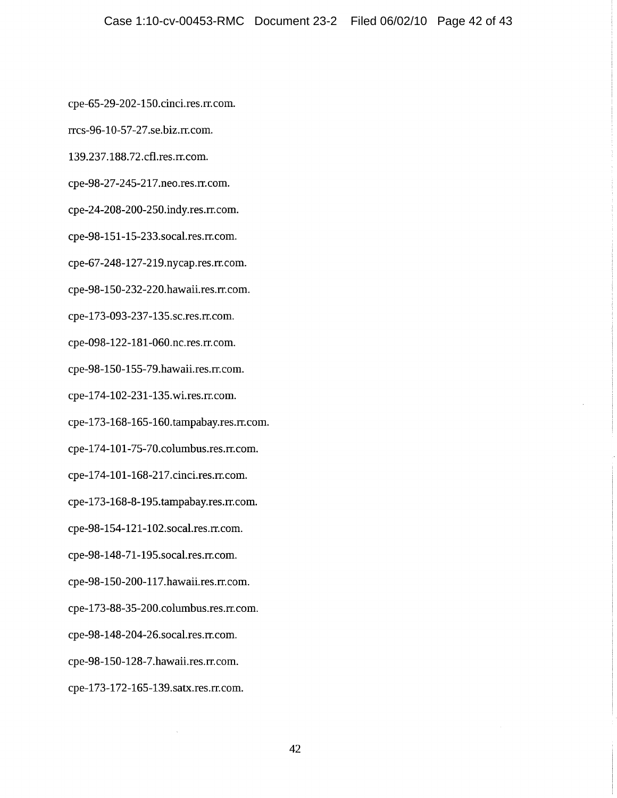cpe-65-29-202-150.cinci.res.rr.com.

rrcs-96-10-57-27.se.biz.rr.com.

139.237.188.72.cfl.res.rr.com.

cpe-98-27-245-217.neo.res.rr.com.

cpe-24-208-200-250.indy.res.rr.com.

cpe-98-151-15-233.socal.res.rr.com.

cpe-67-248-127-219.nycap.res.rr.com.

cpe-98-150-232-220.hawaii.res.rr.com.

cpe-173-093-237-135.sc.res.rr.com.

cpe-098-122-181-060.nc.res.rr.com.

cpe-98-150-155-79.hawaii.res.rr.com.

cpe-174-102-231-135.wi.res.rr.com.

cpe-173-168-165-160.tampabay.res.rr.com.

cpe-174-101-75-70.columbus.res.rr.com.

cpe-174-101-168-217.cinci.res.rr.com.

cpe-173-168-8-195.tampabay.res.rr.com.

cpe-98-154-121-102.socal.res.rr.com.

cpe-98-148-71-195.socal.res.rr.com.

cpe-98-150-200-117.hawaii.res.rr.com.

cpe-173-88-35-200.columbus.res.rr.com.

cpe-98-148-204-26.socal.res.rr.com.

cpe-98-150-128-7.hawaii.res.rr.com.

cpe-173-172-165-139.satx.res.rr.com.